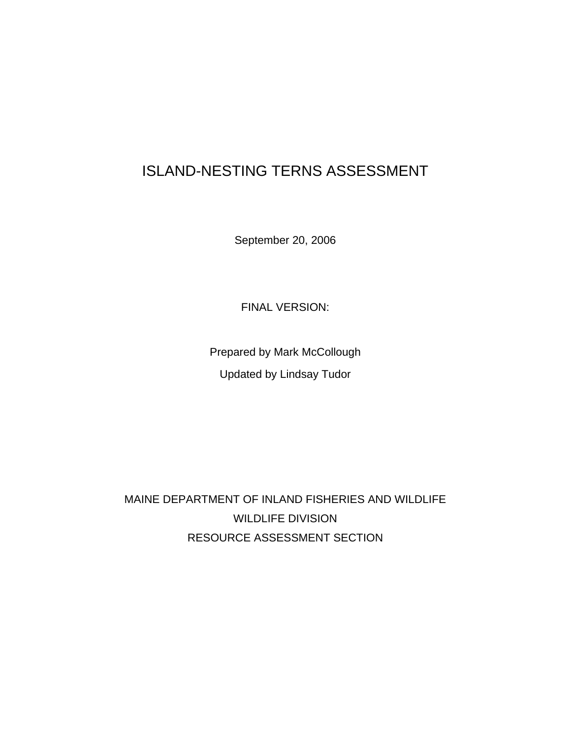# ISLAND-NESTING TERNS ASSESSMENT

September 20, 2006

FINAL VERSION:

Prepared by Mark McCollough Updated by Lindsay Tudor

MAINE DEPARTMENT OF INLAND FISHERIES AND WILDLIFE WILDLIFE DIVISION RESOURCE ASSESSMENT SECTION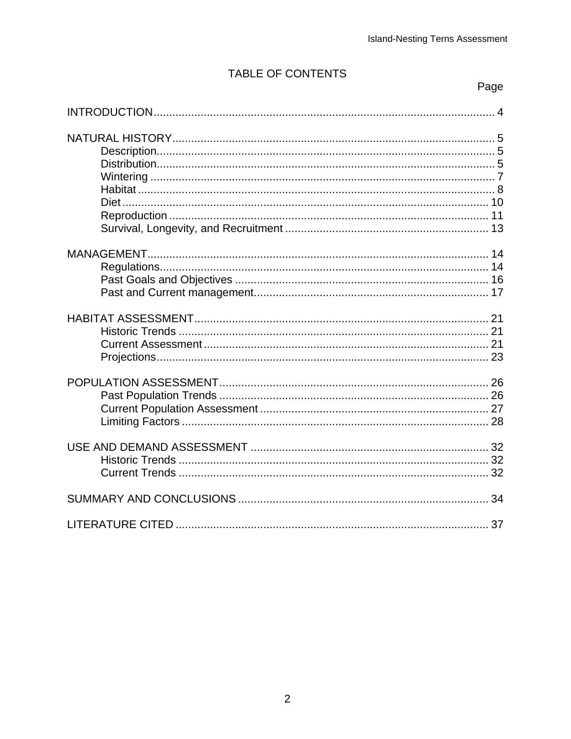# TABLE OF CONTENTS

Page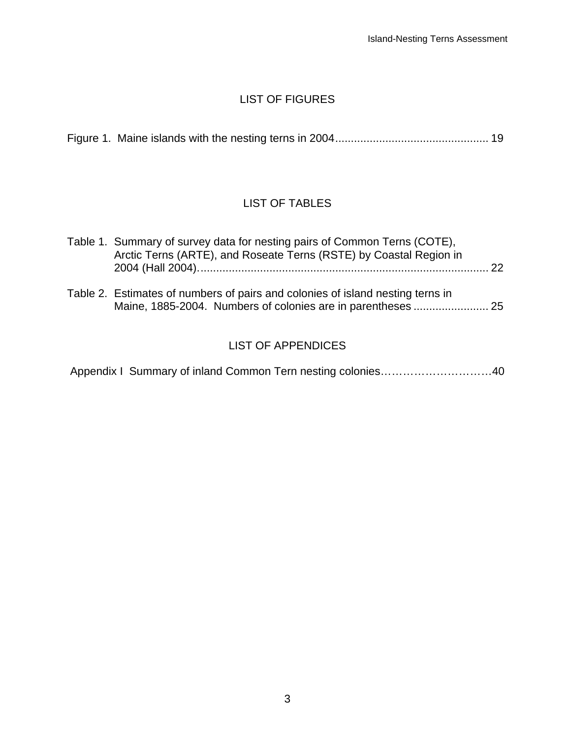## LIST OF FIGURES

# LIST OF TABLES

| Table 1. Summary of survey data for nesting pairs of Common Terns (COTE),<br>Arctic Terns (ARTE), and Roseate Terns (RSTE) by Coastal Region in | 22 |
|-------------------------------------------------------------------------------------------------------------------------------------------------|----|
| Table 2. Estimates of numbers of pairs and colonies of island nesting terns in                                                                  |    |

# LIST OF APPENDICES

|  |  |  |  | Appendix I Summary of inland Common Tern nesting colonies40 |
|--|--|--|--|-------------------------------------------------------------|
|--|--|--|--|-------------------------------------------------------------|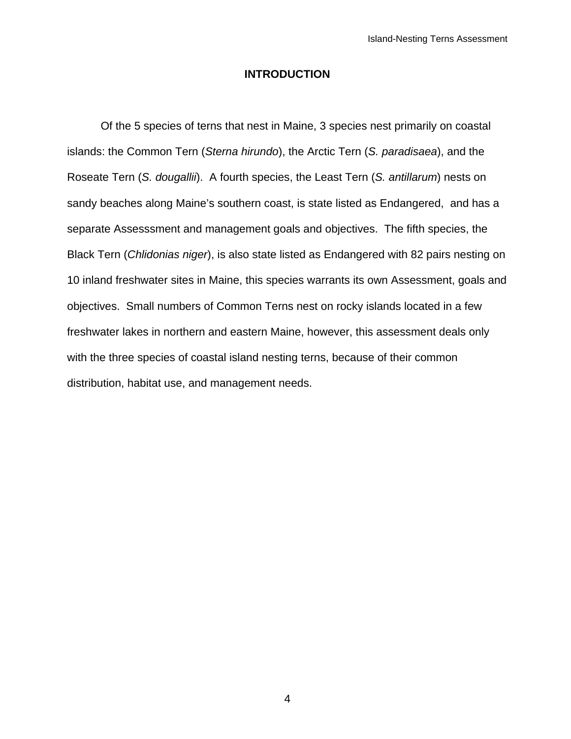#### **INTRODUCTION**

 Of the 5 species of terns that nest in Maine, 3 species nest primarily on coastal islands: the Common Tern (*Sterna hirundo*), the Arctic Tern (*S. paradisaea*), and the Roseate Tern (*S. dougallii*). A fourth species, the Least Tern (*S. antillarum*) nests on sandy beaches along Maine's southern coast, is state listed as Endangered, and has a separate Assesssment and management goals and objectives. The fifth species, the Black Tern (*Chlidonias niger*), is also state listed as Endangered with 82 pairs nesting on 10 inland freshwater sites in Maine, this species warrants its own Assessment, goals and objectives. Small numbers of Common Terns nest on rocky islands located in a few freshwater lakes in northern and eastern Maine, however, this assessment deals only with the three species of coastal island nesting terns, because of their common distribution, habitat use, and management needs.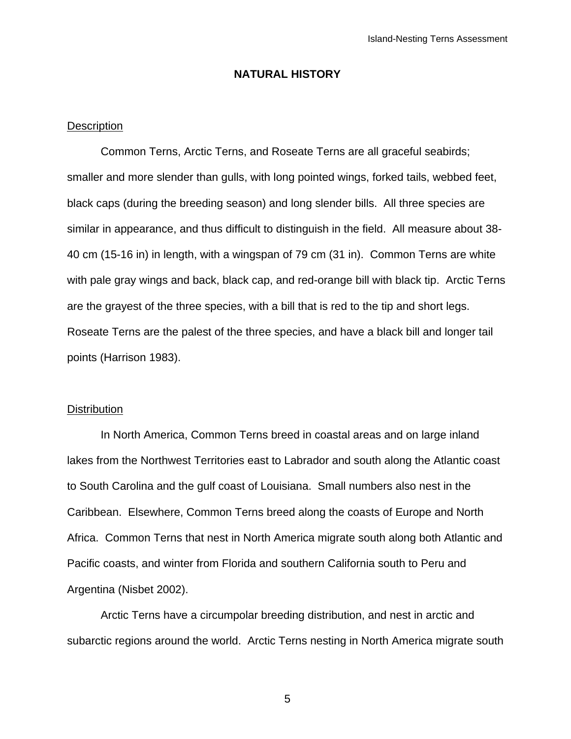#### **NATURAL HISTORY**

#### **Description**

Common Terns, Arctic Terns, and Roseate Terns are all graceful seabirds; smaller and more slender than gulls, with long pointed wings, forked tails, webbed feet, black caps (during the breeding season) and long slender bills. All three species are similar in appearance, and thus difficult to distinguish in the field. All measure about 38- 40 cm (15-16 in) in length, with a wingspan of 79 cm (31 in). Common Terns are white with pale gray wings and back, black cap, and red-orange bill with black tip. Arctic Terns are the grayest of the three species, with a bill that is red to the tip and short legs. Roseate Terns are the palest of the three species, and have a black bill and longer tail points (Harrison 1983).

#### **Distribution**

 In North America, Common Terns breed in coastal areas and on large inland lakes from the Northwest Territories east to Labrador and south along the Atlantic coast to South Carolina and the gulf coast of Louisiana. Small numbers also nest in the Caribbean. Elsewhere, Common Terns breed along the coasts of Europe and North Africa. Common Terns that nest in North America migrate south along both Atlantic and Pacific coasts, and winter from Florida and southern California south to Peru and Argentina (Nisbet 2002).

 Arctic Terns have a circumpolar breeding distribution, and nest in arctic and subarctic regions around the world. Arctic Terns nesting in North America migrate south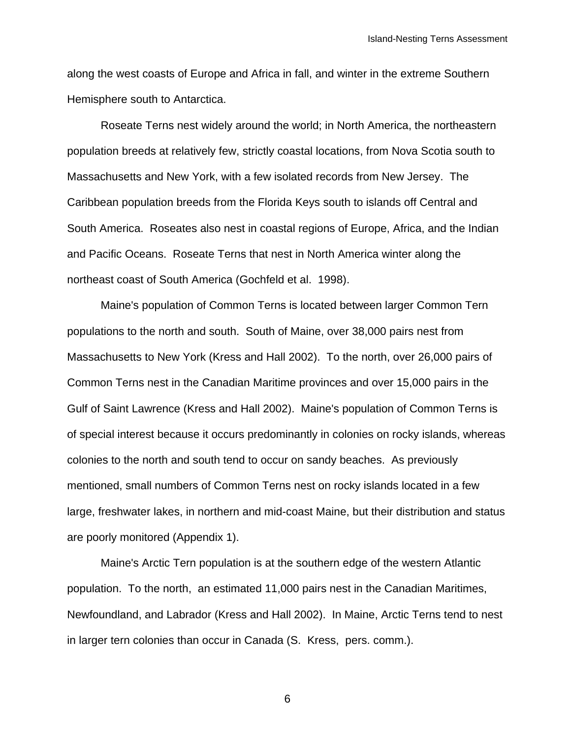along the west coasts of Europe and Africa in fall, and winter in the extreme Southern Hemisphere south to Antarctica.

 Roseate Terns nest widely around the world; in North America, the northeastern population breeds at relatively few, strictly coastal locations, from Nova Scotia south to Massachusetts and New York, with a few isolated records from New Jersey. The Caribbean population breeds from the Florida Keys south to islands off Central and South America. Roseates also nest in coastal regions of Europe, Africa, and the Indian and Pacific Oceans. Roseate Terns that nest in North America winter along the northeast coast of South America (Gochfeld et al. 1998).

 Maine's population of Common Terns is located between larger Common Tern populations to the north and south. South of Maine, over 38,000 pairs nest from Massachusetts to New York (Kress and Hall 2002). To the north, over 26,000 pairs of Common Terns nest in the Canadian Maritime provinces and over 15,000 pairs in the Gulf of Saint Lawrence (Kress and Hall 2002). Maine's population of Common Terns is of special interest because it occurs predominantly in colonies on rocky islands, whereas colonies to the north and south tend to occur on sandy beaches. As previously mentioned, small numbers of Common Terns nest on rocky islands located in a few large, freshwater lakes, in northern and mid-coast Maine, but their distribution and status are poorly monitored (Appendix 1).

Maine's Arctic Tern population is at the southern edge of the western Atlantic population. To the north, an estimated 11,000 pairs nest in the Canadian Maritimes, Newfoundland, and Labrador (Kress and Hall 2002). In Maine, Arctic Terns tend to nest in larger tern colonies than occur in Canada (S. Kress, pers. comm.).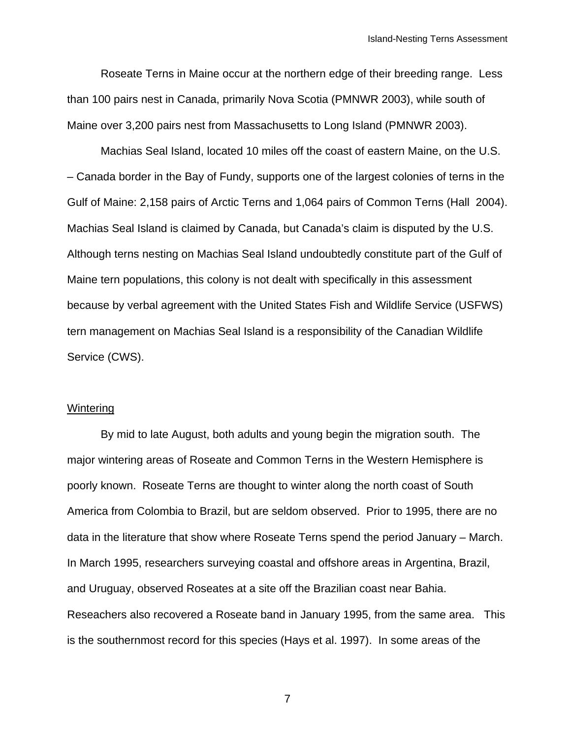Roseate Terns in Maine occur at the northern edge of their breeding range. Less than 100 pairs nest in Canada, primarily Nova Scotia (PMNWR 2003), while south of Maine over 3,200 pairs nest from Massachusetts to Long Island (PMNWR 2003).

 Machias Seal Island, located 10 miles off the coast of eastern Maine, on the U.S. – Canada border in the Bay of Fundy, supports one of the largest colonies of terns in the Gulf of Maine: 2,158 pairs of Arctic Terns and 1,064 pairs of Common Terns (Hall 2004). Machias Seal Island is claimed by Canada, but Canada's claim is disputed by the U.S. Although terns nesting on Machias Seal Island undoubtedly constitute part of the Gulf of Maine tern populations, this colony is not dealt with specifically in this assessment because by verbal agreement with the United States Fish and Wildlife Service (USFWS) tern management on Machias Seal Island is a responsibility of the Canadian Wildlife Service (CWS).

#### **Wintering**

By mid to late August, both adults and young begin the migration south. The major wintering areas of Roseate and Common Terns in the Western Hemisphere is poorly known. Roseate Terns are thought to winter along the north coast of South America from Colombia to Brazil, but are seldom observed. Prior to 1995, there are no data in the literature that show where Roseate Terns spend the period January – March. In March 1995, researchers surveying coastal and offshore areas in Argentina, Brazil, and Uruguay, observed Roseates at a site off the Brazilian coast near Bahia. Reseachers also recovered a Roseate band in January 1995, from the same area. This is the southernmost record for this species (Hays et al. 1997). In some areas of the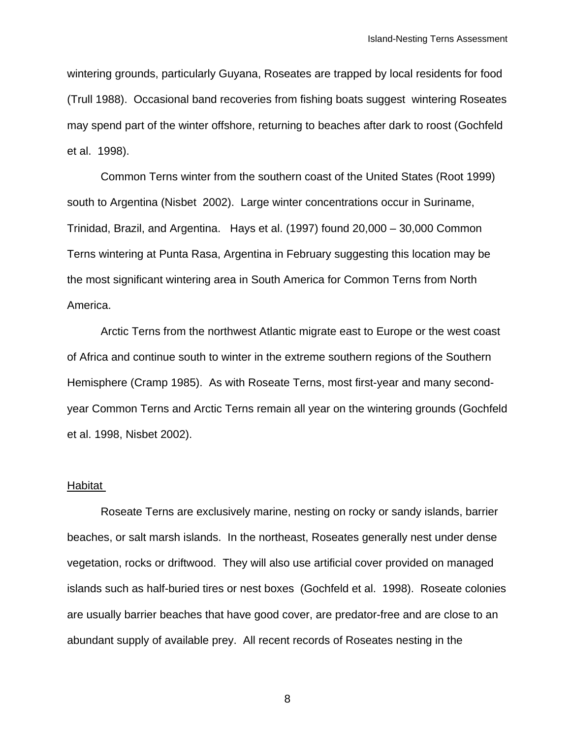wintering grounds, particularly Guyana, Roseates are trapped by local residents for food (Trull 1988). Occasional band recoveries from fishing boats suggest wintering Roseates may spend part of the winter offshore, returning to beaches after dark to roost (Gochfeld et al. 1998).

Common Terns winter from the southern coast of the United States (Root 1999) south to Argentina (Nisbet 2002). Large winter concentrations occur in Suriname, Trinidad, Brazil, and Argentina. Hays et al. (1997) found 20,000 – 30,000 Common Terns wintering at Punta Rasa, Argentina in February suggesting this location may be the most significant wintering area in South America for Common Terns from North America.

Arctic Terns from the northwest Atlantic migrate east to Europe or the west coast of Africa and continue south to winter in the extreme southern regions of the Southern Hemisphere (Cramp 1985). As with Roseate Terns, most first-year and many secondyear Common Terns and Arctic Terns remain all year on the wintering grounds (Gochfeld et al. 1998, Nisbet 2002).

#### **Habitat**

 Roseate Terns are exclusively marine, nesting on rocky or sandy islands, barrier beaches, or salt marsh islands. In the northeast, Roseates generally nest under dense vegetation, rocks or driftwood. They will also use artificial cover provided on managed islands such as half-buried tires or nest boxes (Gochfeld et al. 1998). Roseate colonies are usually barrier beaches that have good cover, are predator-free and are close to an abundant supply of available prey. All recent records of Roseates nesting in the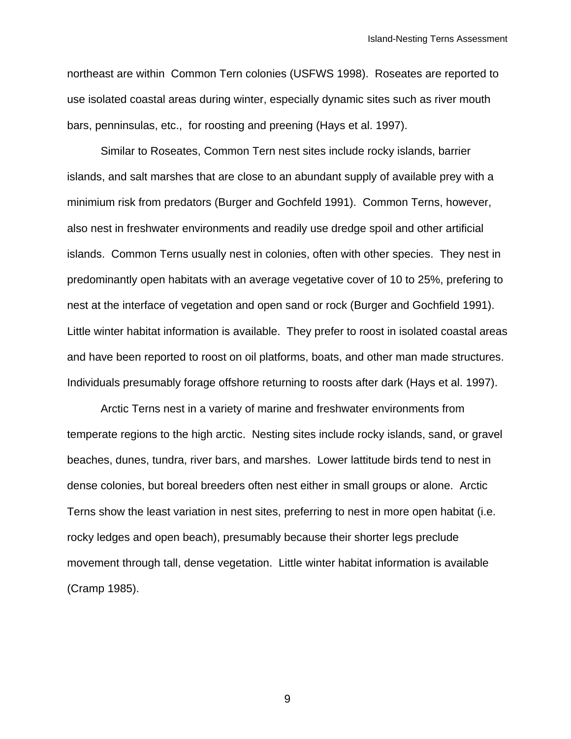northeast are within Common Tern colonies (USFWS 1998). Roseates are reported to use isolated coastal areas during winter, especially dynamic sites such as river mouth bars, penninsulas, etc., for roosting and preening (Hays et al. 1997).

 Similar to Roseates, Common Tern nest sites include rocky islands, barrier islands, and salt marshes that are close to an abundant supply of available prey with a minimium risk from predators (Burger and Gochfeld 1991). Common Terns, however, also nest in freshwater environments and readily use dredge spoil and other artificial islands. Common Terns usually nest in colonies, often with other species. They nest in predominantly open habitats with an average vegetative cover of 10 to 25%, prefering to nest at the interface of vegetation and open sand or rock (Burger and Gochfield 1991). Little winter habitat information is available. They prefer to roost in isolated coastal areas and have been reported to roost on oil platforms, boats, and other man made structures. Individuals presumably forage offshore returning to roosts after dark (Hays et al. 1997).

 Arctic Terns nest in a variety of marine and freshwater environments from temperate regions to the high arctic. Nesting sites include rocky islands, sand, or gravel beaches, dunes, tundra, river bars, and marshes. Lower lattitude birds tend to nest in dense colonies, but boreal breeders often nest either in small groups or alone. Arctic Terns show the least variation in nest sites, preferring to nest in more open habitat (i.e. rocky ledges and open beach), presumably because their shorter legs preclude movement through tall, dense vegetation. Little winter habitat information is available (Cramp 1985).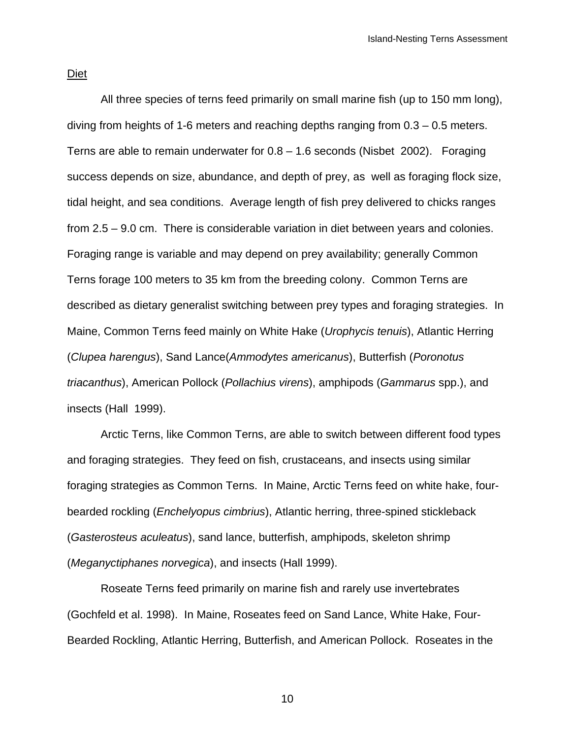Diet

 All three species of terns feed primarily on small marine fish (up to 150 mm long), diving from heights of 1-6 meters and reaching depths ranging from 0.3 – 0.5 meters. Terns are able to remain underwater for  $0.8 - 1.6$  seconds (Nisbet 2002). Foraging success depends on size, abundance, and depth of prey, as well as foraging flock size, tidal height, and sea conditions. Average length of fish prey delivered to chicks ranges from 2.5 – 9.0 cm. There is considerable variation in diet between years and colonies. Foraging range is variable and may depend on prey availability; generally Common Terns forage 100 meters to 35 km from the breeding colony. Common Terns are described as dietary generalist switching between prey types and foraging strategies. In Maine, Common Terns feed mainly on White Hake (*Urophycis tenuis*), Atlantic Herring (*Clupea harengus*), Sand Lance(*Ammodytes americanus*), Butterfish (*Poronotus triacanthus*), American Pollock (*Pollachius virens*), amphipods (*Gammarus* spp.), and insects (Hall 1999).

 Arctic Terns, like Common Terns, are able to switch between different food types and foraging strategies. They feed on fish, crustaceans, and insects using similar foraging strategies as Common Terns. In Maine, Arctic Terns feed on white hake, fourbearded rockling (*Enchelyopus cimbrius*), Atlantic herring, three-spined stickleback (*Gasterosteus aculeatus*), sand lance, butterfish, amphipods, skeleton shrimp (*Meganyctiphanes norvegica*), and insects (Hall 1999).

 Roseate Terns feed primarily on marine fish and rarely use invertebrates (Gochfeld et al. 1998). In Maine, Roseates feed on Sand Lance, White Hake, Four-Bearded Rockling, Atlantic Herring, Butterfish, and American Pollock. Roseates in the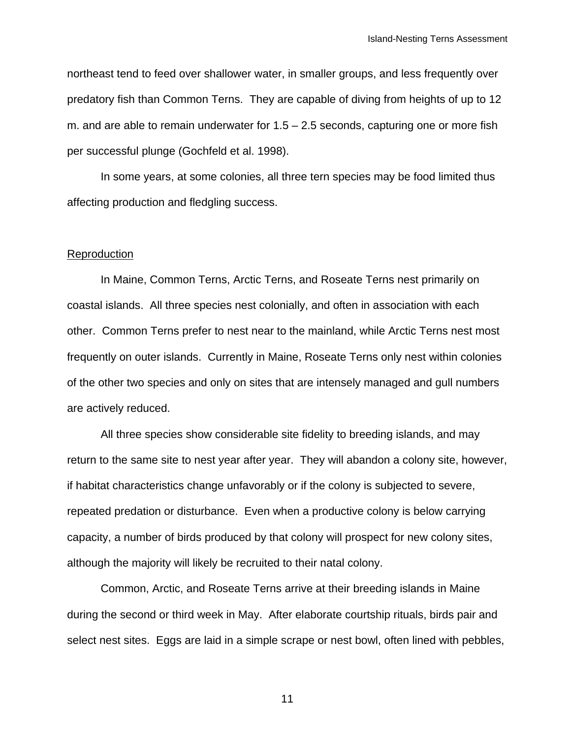northeast tend to feed over shallower water, in smaller groups, and less frequently over predatory fish than Common Terns. They are capable of diving from heights of up to 12 m. and are able to remain underwater for  $1.5 - 2.5$  seconds, capturing one or more fish per successful plunge (Gochfeld et al. 1998).

 In some years, at some colonies, all three tern species may be food limited thus affecting production and fledgling success.

#### Reproduction

 In Maine, Common Terns, Arctic Terns, and Roseate Terns nest primarily on coastal islands. All three species nest colonially, and often in association with each other. Common Terns prefer to nest near to the mainland, while Arctic Terns nest most frequently on outer islands. Currently in Maine, Roseate Terns only nest within colonies of the other two species and only on sites that are intensely managed and gull numbers are actively reduced.

 All three species show considerable site fidelity to breeding islands, and may return to the same site to nest year after year. They will abandon a colony site, however, if habitat characteristics change unfavorably or if the colony is subjected to severe, repeated predation or disturbance. Even when a productive colony is below carrying capacity, a number of birds produced by that colony will prospect for new colony sites, although the majority will likely be recruited to their natal colony.

Common, Arctic, and Roseate Terns arrive at their breeding islands in Maine during the second or third week in May. After elaborate courtship rituals, birds pair and select nest sites. Eggs are laid in a simple scrape or nest bowl, often lined with pebbles,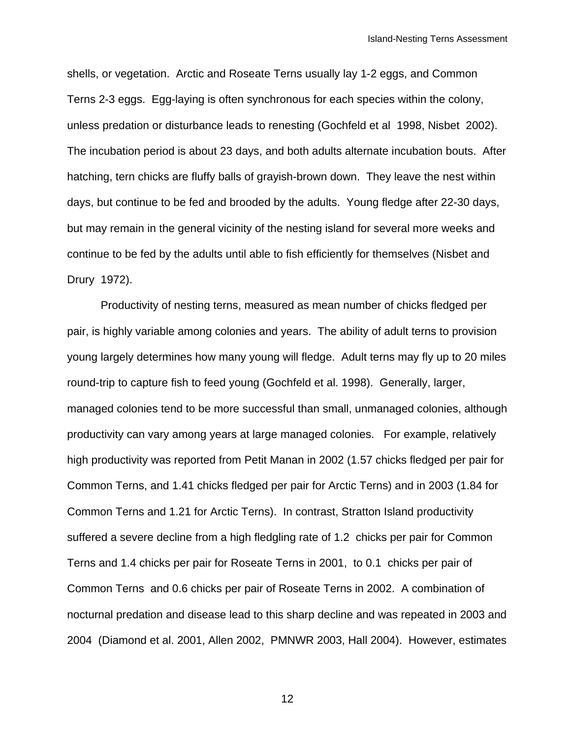shells, or vegetation. Arctic and Roseate Terns usually lay 1-2 eggs, and Common Terns 2-3 eggs. Egg-laying is often synchronous for each species within the colony, unless predation or disturbance leads to renesting (Gochfeld et al 1998, Nisbet 2002). The incubation period is about 23 days, and both adults alternate incubation bouts. After hatching, tern chicks are fluffy balls of grayish-brown down. They leave the nest within days, but continue to be fed and brooded by the adults. Young fledge after 22-30 days, but may remain in the general vicinity of the nesting island for several more weeks and continue to be fed by the adults until able to fish efficiently for themselves (Nisbet and Drury 1972).

Productivity of nesting terns, measured as mean number of chicks fledged per pair, is highly variable among colonies and years. The ability of adult terns to provision young largely determines how many young will fledge. Adult terns may fly up to 20 miles round-trip to capture fish to feed young (Gochfeld et al. 1998). Generally, larger, managed colonies tend to be more successful than small, unmanaged colonies, although productivity can vary among years at large managed colonies. For example, relatively high productivity was reported from Petit Manan in 2002 (1.57 chicks fledged per pair for Common Terns, and 1.41 chicks fledged per pair for Arctic Terns) and in 2003 (1.84 for Common Terns and 1.21 for Arctic Terns). In contrast, Stratton Island productivity suffered a severe decline from a high fledgling rate of 1.2 chicks per pair for Common Terns and 1.4 chicks per pair for Roseate Terns in 2001, to 0.1 chicks per pair of Common Terns and 0.6 chicks per pair of Roseate Terns in 2002. A combination of nocturnal predation and disease lead to this sharp decline and was repeated in 2003 and 2004 (Diamond et al. 2001, Allen 2002, PMNWR 2003, Hall 2004). However, estimates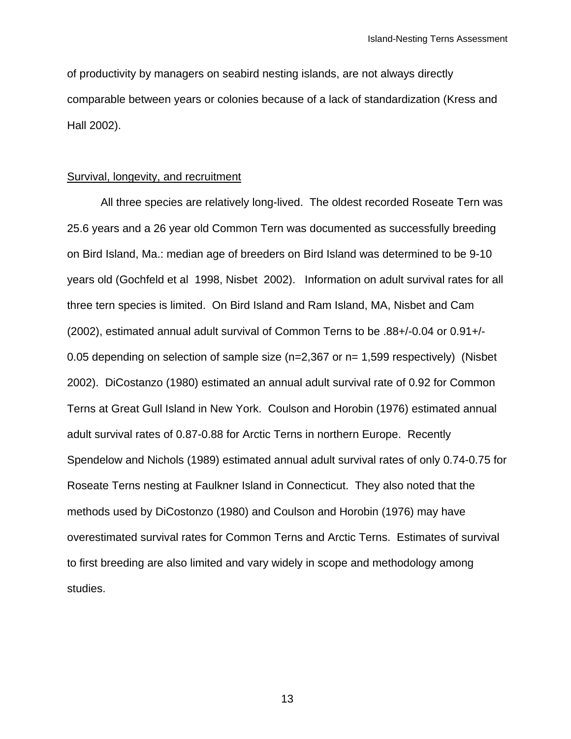of productivity by managers on seabird nesting islands, are not always directly comparable between years or colonies because of a lack of standardization (Kress and Hall 2002).

#### Survival, longevity, and recruitment

All three species are relatively long-lived. The oldest recorded Roseate Tern was 25.6 years and a 26 year old Common Tern was documented as successfully breeding on Bird Island, Ma.: median age of breeders on Bird Island was determined to be 9-10 years old (Gochfeld et al 1998, Nisbet 2002). Information on adult survival rates for all three tern species is limited. On Bird Island and Ram Island, MA, Nisbet and Cam (2002), estimated annual adult survival of Common Terns to be .88+/-0.04 or 0.91+/- 0.05 depending on selection of sample size (n=2,367 or n= 1,599 respectively) (Nisbet 2002). DiCostanzo (1980) estimated an annual adult survival rate of 0.92 for Common Terns at Great Gull Island in New York. Coulson and Horobin (1976) estimated annual adult survival rates of 0.87-0.88 for Arctic Terns in northern Europe. Recently Spendelow and Nichols (1989) estimated annual adult survival rates of only 0.74-0.75 for Roseate Terns nesting at Faulkner Island in Connecticut. They also noted that the methods used by DiCostonzo (1980) and Coulson and Horobin (1976) may have overestimated survival rates for Common Terns and Arctic Terns. Estimates of survival to first breeding are also limited and vary widely in scope and methodology among studies.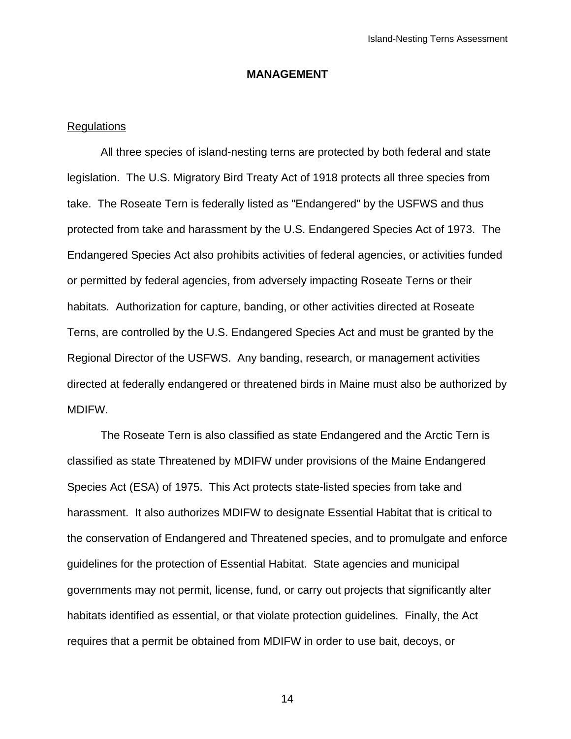### **MANAGEMENT**

#### Regulations

All three species of island-nesting terns are protected by both federal and state legislation. The U.S. Migratory Bird Treaty Act of 1918 protects all three species from take. The Roseate Tern is federally listed as "Endangered" by the USFWS and thus protected from take and harassment by the U.S. Endangered Species Act of 1973. The Endangered Species Act also prohibits activities of federal agencies, or activities funded or permitted by federal agencies, from adversely impacting Roseate Terns or their habitats. Authorization for capture, banding, or other activities directed at Roseate Terns, are controlled by the U.S. Endangered Species Act and must be granted by the Regional Director of the USFWS. Any banding, research, or management activities directed at federally endangered or threatened birds in Maine must also be authorized by MDIFW.

The Roseate Tern is also classified as state Endangered and the Arctic Tern is classified as state Threatened by MDIFW under provisions of the Maine Endangered Species Act (ESA) of 1975. This Act protects state-listed species from take and harassment. It also authorizes MDIFW to designate Essential Habitat that is critical to the conservation of Endangered and Threatened species, and to promulgate and enforce guidelines for the protection of Essential Habitat. State agencies and municipal governments may not permit, license, fund, or carry out projects that significantly alter habitats identified as essential, or that violate protection guidelines. Finally, the Act requires that a permit be obtained from MDIFW in order to use bait, decoys, or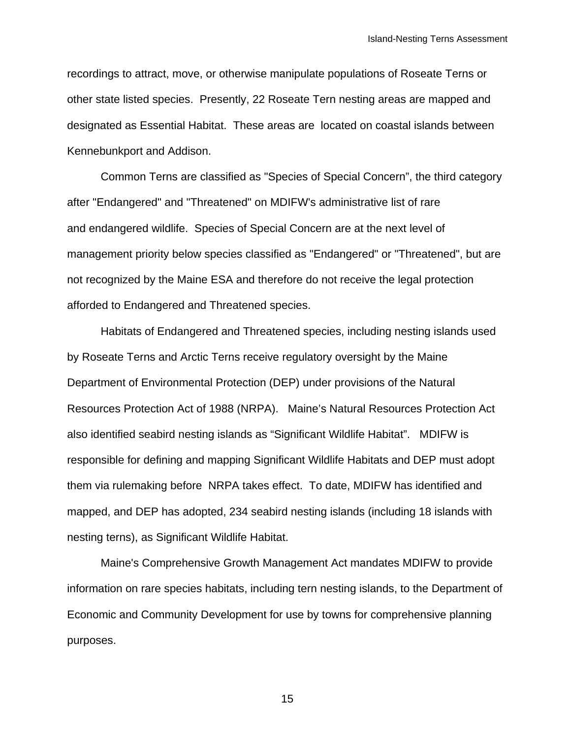recordings to attract, move, or otherwise manipulate populations of Roseate Terns or other state listed species. Presently, 22 Roseate Tern nesting areas are mapped and designated as Essential Habitat. These areas are located on coastal islands between Kennebunkport and Addison.

 Common Terns are classified as "Species of Special Concern", the third category after "Endangered" and "Threatened" on MDIFW's administrative list of rare and endangered wildlife. Species of Special Concern are at the next level of management priority below species classified as "Endangered" or "Threatened", but are not recognized by the Maine ESA and therefore do not receive the legal protection afforded to Endangered and Threatened species.

Habitats of Endangered and Threatened species, including nesting islands used by Roseate Terns and Arctic Terns receive regulatory oversight by the Maine Department of Environmental Protection (DEP) under provisions of the Natural Resources Protection Act of 1988 (NRPA). Maine's Natural Resources Protection Act also identified seabird nesting islands as "Significant Wildlife Habitat". MDIFW is responsible for defining and mapping Significant Wildlife Habitats and DEP must adopt them via rulemaking before NRPA takes effect. To date, MDIFW has identified and mapped, and DEP has adopted, 234 seabird nesting islands (including 18 islands with nesting terns), as Significant Wildlife Habitat.

Maine's Comprehensive Growth Management Act mandates MDIFW to provide information on rare species habitats, including tern nesting islands, to the Department of Economic and Community Development for use by towns for comprehensive planning purposes.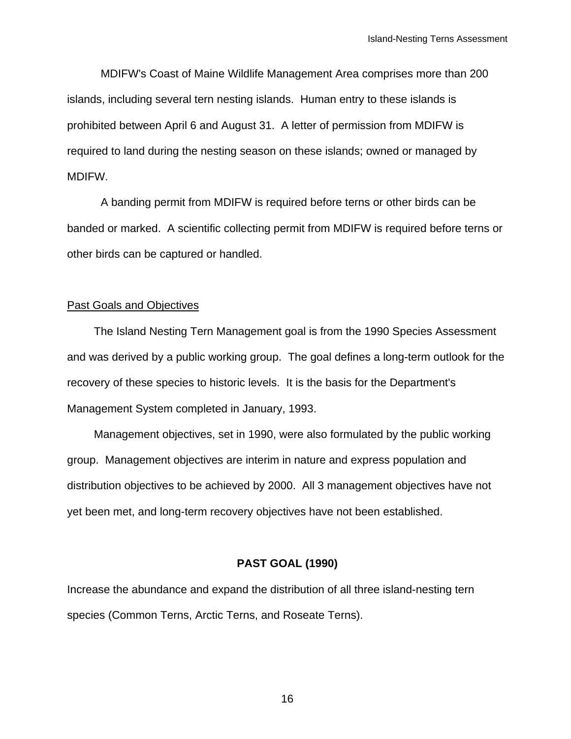MDIFW's Coast of Maine Wildlife Management Area comprises more than 200 islands, including several tern nesting islands. Human entry to these islands is prohibited between April 6 and August 31. A letter of permission from MDIFW is required to land during the nesting season on these islands; owned or managed by MDIFW.

A banding permit from MDIFW is required before terns or other birds can be banded or marked. A scientific collecting permit from MDIFW is required before terns or other birds can be captured or handled.

#### Past Goals and Objectives

The Island Nesting Tern Management goal is from the 1990 Species Assessment and was derived by a public working group. The goal defines a long-term outlook for the recovery of these species to historic levels. It is the basis for the Department's Management System completed in January, 1993.

Management objectives, set in 1990, were also formulated by the public working group. Management objectives are interim in nature and express population and distribution objectives to be achieved by 2000. All 3 management objectives have not yet been met, and long-term recovery objectives have not been established.

#### **PAST GOAL (1990)**

Increase the abundance and expand the distribution of all three island-nesting tern species (Common Terns, Arctic Terns, and Roseate Terns).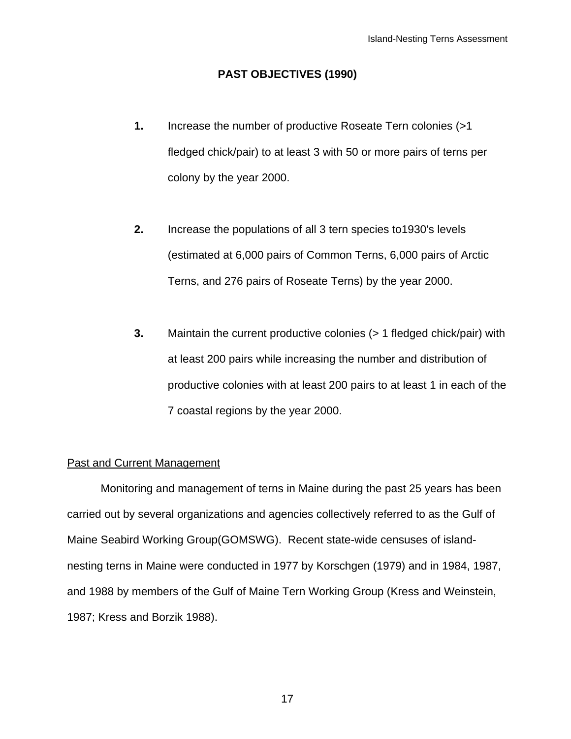### **PAST OBJECTIVES (1990)**

- **1.** Increase the number of productive Roseate Tern colonies (>1 fledged chick/pair) to at least 3 with 50 or more pairs of terns per colony by the year 2000.
- **2.** Increase the populations of all 3 tern species to1930's levels (estimated at 6,000 pairs of Common Terns, 6,000 pairs of Arctic Terns, and 276 pairs of Roseate Terns) by the year 2000.
- **3.** Maintain the current productive colonies (> 1 fledged chick/pair) with at least 200 pairs while increasing the number and distribution of productive colonies with at least 200 pairs to at least 1 in each of the 7 coastal regions by the year 2000.

### Past and Current Management

Monitoring and management of terns in Maine during the past 25 years has been carried out by several organizations and agencies collectively referred to as the Gulf of Maine Seabird Working Group(GOMSWG). Recent state-wide censuses of islandnesting terns in Maine were conducted in 1977 by Korschgen (1979) and in 1984, 1987, and 1988 by members of the Gulf of Maine Tern Working Group (Kress and Weinstein, 1987; Kress and Borzik 1988).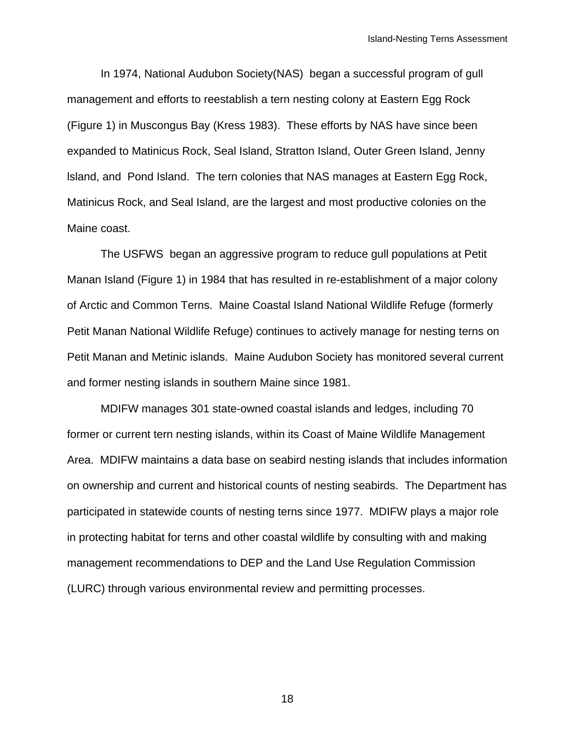In 1974, National Audubon Society(NAS) began a successful program of gull management and efforts to reestablish a tern nesting colony at Eastern Egg Rock (Figure 1) in Muscongus Bay (Kress 1983). These efforts by NAS have since been expanded to Matinicus Rock, Seal Island, Stratton Island, Outer Green Island, Jenny lsland, and Pond Island. The tern colonies that NAS manages at Eastern Egg Rock, Matinicus Rock, and Seal Island, are the largest and most productive colonies on the Maine coast.

The USFWS began an aggressive program to reduce gull populations at Petit Manan Island (Figure 1) in 1984 that has resulted in re-establishment of a major colony of Arctic and Common Terns. Maine Coastal Island National Wildlife Refuge (formerly Petit Manan National Wildlife Refuge) continues to actively manage for nesting terns on Petit Manan and Metinic islands. Maine Audubon Society has monitored several current and former nesting islands in southern Maine since 1981.

 MDIFW manages 301 state-owned coastal islands and ledges, including 70 former or current tern nesting islands, within its Coast of Maine Wildlife Management Area. MDIFW maintains a data base on seabird nesting islands that includes information on ownership and current and historical counts of nesting seabirds. The Department has participated in statewide counts of nesting terns since 1977. MDIFW plays a major role in protecting habitat for terns and other coastal wildlife by consulting with and making management recommendations to DEP and the Land Use Regulation Commission (LURC) through various environmental review and permitting processes.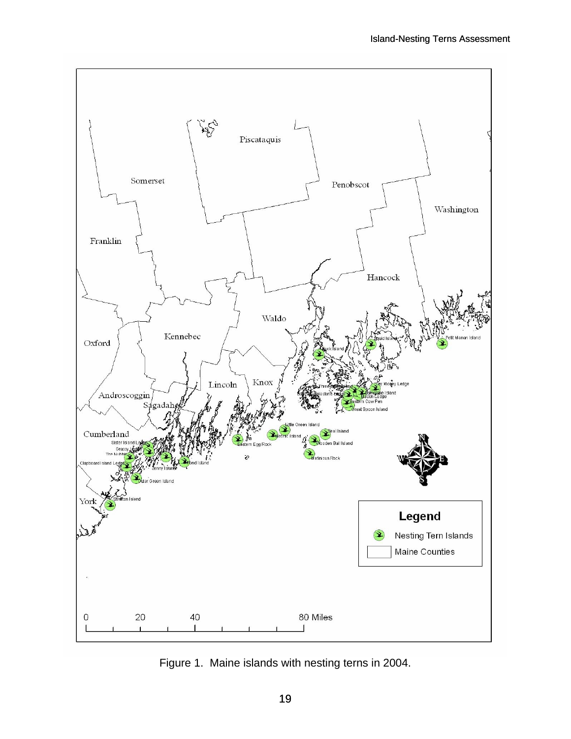

Figure 1. Maine islands with nesting terns in 2004.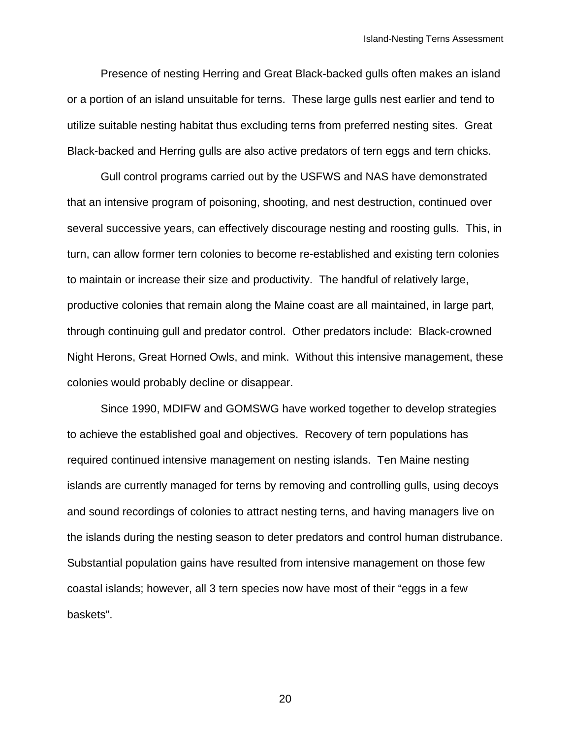Presence of nesting Herring and Great Black-backed gulls often makes an island or a portion of an island unsuitable for terns. These large gulls nest earlier and tend to utilize suitable nesting habitat thus excluding terns from preferred nesting sites. Great Black-backed and Herring gulls are also active predators of tern eggs and tern chicks.

Gull control programs carried out by the USFWS and NAS have demonstrated that an intensive program of poisoning, shooting, and nest destruction, continued over several successive years, can effectively discourage nesting and roosting gulls. This, in turn, can allow former tern colonies to become re-established and existing tern colonies to maintain or increase their size and productivity. The handful of relatively large, productive colonies that remain along the Maine coast are all maintained, in large part, through continuing gull and predator control. Other predators include: Black-crowned Night Herons, Great Horned Owls, and mink. Without this intensive management, these colonies would probably decline or disappear.

Since 1990, MDIFW and GOMSWG have worked together to develop strategies to achieve the established goal and objectives. Recovery of tern populations has required continued intensive management on nesting islands. Ten Maine nesting islands are currently managed for terns by removing and controlling gulls, using decoys and sound recordings of colonies to attract nesting terns, and having managers live on the islands during the nesting season to deter predators and control human distrubance. Substantial population gains have resulted from intensive management on those few coastal islands; however, all 3 tern species now have most of their "eggs in a few baskets".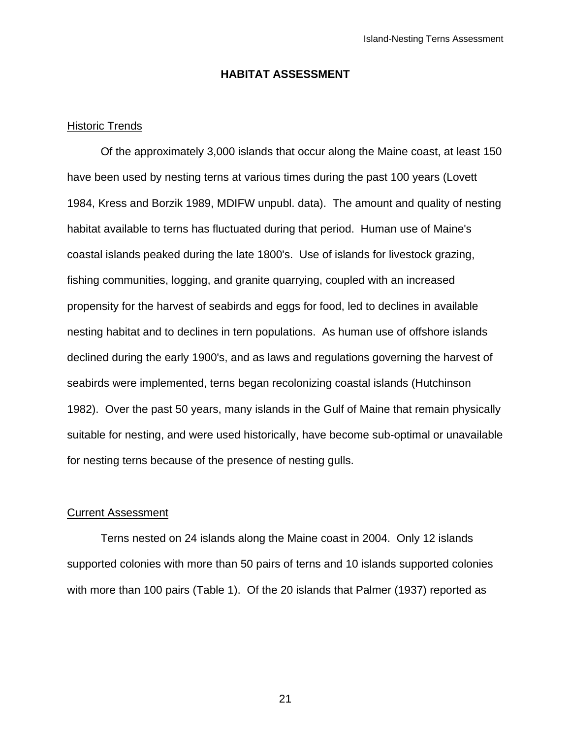#### **HABITAT ASSESSMENT**

#### Historic Trends

 Of the approximately 3,000 islands that occur along the Maine coast, at least 150 have been used by nesting terns at various times during the past 100 years (Lovett 1984, Kress and Borzik 1989, MDIFW unpubl. data). The amount and quality of nesting habitat available to terns has fluctuated during that period. Human use of Maine's coastal islands peaked during the late 1800's. Use of islands for livestock grazing, fishing communities, logging, and granite quarrying, coupled with an increased propensity for the harvest of seabirds and eggs for food, led to declines in available nesting habitat and to declines in tern populations. As human use of offshore islands declined during the early 1900's, and as laws and regulations governing the harvest of seabirds were implemented, terns began recolonizing coastal islands (Hutchinson 1982). Over the past 50 years, many islands in the Gulf of Maine that remain physically suitable for nesting, and were used historically, have become sub-optimal or unavailable for nesting terns because of the presence of nesting gulls.

#### Current Assessment

Terns nested on 24 islands along the Maine coast in 2004. Only 12 islands supported colonies with more than 50 pairs of terns and 10 islands supported colonies with more than 100 pairs (Table 1). Of the 20 islands that Palmer (1937) reported as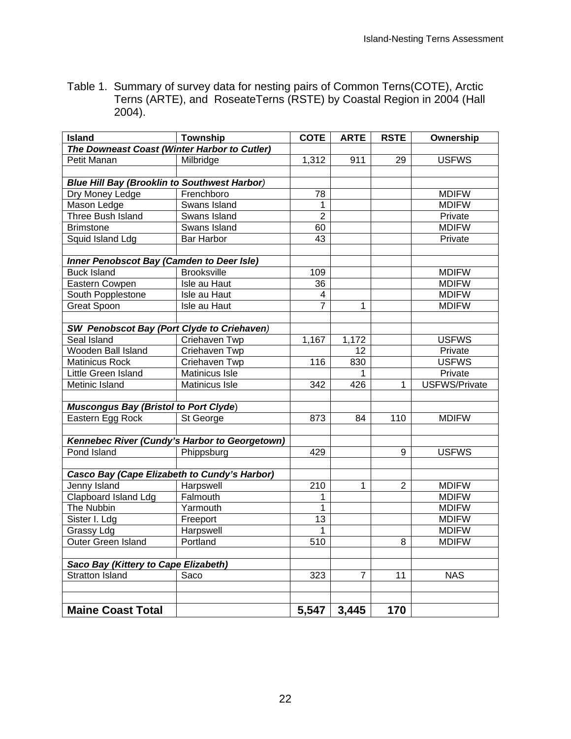| Table 1. Summary of survey data for nesting pairs of Common Terns(COTE), Arctic |
|---------------------------------------------------------------------------------|
| Terns (ARTE), and RoseateTerns (RSTE) by Coastal Region in 2004 (Hall           |
| $2004$ ).                                                                       |

| <b>Island</b>                                       | <b>Township</b>                               | <b>COTE</b>     | <b>ARTE</b> | <b>RSTE</b>    | Ownership            |
|-----------------------------------------------------|-----------------------------------------------|-----------------|-------------|----------------|----------------------|
| The Downeast Coast (Winter Harbor to Cutler)        |                                               |                 |             |                |                      |
| Petit Manan                                         | Milbridge                                     | 1,312           | 911         | 29             | <b>USFWS</b>         |
|                                                     |                                               |                 |             |                |                      |
| <b>Blue Hill Bay (Brooklin to Southwest Harbor)</b> |                                               |                 |             |                |                      |
| Dry Money Ledge                                     | Frenchboro                                    | 78              |             |                | <b>MDIFW</b>         |
| Mason Ledge                                         | Swans Island                                  | 1               |             |                | <b>MDIFW</b>         |
| <b>Three Bush Island</b>                            | Swans Island                                  | $\overline{2}$  |             |                | Private              |
| <b>Brimstone</b>                                    | Swans Island                                  | 60              |             |                | <b>MDIFW</b>         |
| Squid Island Ldg                                    | <b>Bar Harbor</b>                             | 43              |             |                | Private              |
|                                                     |                                               |                 |             |                |                      |
| Inner Penobscot Bay (Camden to Deer Isle)           |                                               |                 |             |                |                      |
| <b>Buck Island</b>                                  | <b>Brooksville</b>                            | 109             |             |                | <b>MDIFW</b>         |
| Eastern Cowpen                                      | Isle au Haut                                  | 36              |             |                | <b>MDIFW</b>         |
| South Popplestone                                   | Isle au Haut                                  | 4               |             |                | <b>MDIFW</b>         |
| <b>Great Spoon</b>                                  | Isle au Haut                                  | $\overline{7}$  | 1           |                | <b>MDIFW</b>         |
|                                                     |                                               |                 |             |                |                      |
| <b>SW</b> Penobscot Bay (Port Clyde to Criehaven)   |                                               |                 |             |                |                      |
| Seal Island                                         | Criehaven Twp                                 | 1,167           | 1,172       |                | <b>USFWS</b>         |
| Wooden Ball Island                                  | Criehaven Twp                                 |                 | 12          |                | Private              |
| <b>Matinicus Rock</b>                               | Criehaven Twp                                 | 116             | 830         |                | <b>USFWS</b>         |
| Little Green Island                                 | Matinicus Isle                                |                 | 1           |                | Private              |
| Metinic Island                                      | Matinicus Isle                                | 342             | 426         | 1              | <b>USFWS/Private</b> |
|                                                     |                                               |                 |             |                |                      |
| <b>Muscongus Bay (Bristol to Port Clyde)</b>        |                                               |                 |             |                |                      |
| Eastern Egg Rock                                    | St George                                     | 873             | 84          | 110            | <b>MDIFW</b>         |
|                                                     |                                               |                 |             |                |                      |
|                                                     | Kennebec River (Cundy's Harbor to Georgetown) |                 |             |                |                      |
| Pond Island                                         | Phippsburg                                    | 429             |             | 9              | <b>USFWS</b>         |
|                                                     |                                               |                 |             |                |                      |
| Casco Bay (Cape Elizabeth to Cundy's Harbor)        |                                               |                 |             |                |                      |
| Jenny Island                                        | Harpswell                                     | 210             | 1           | $\overline{2}$ | <b>MDIFW</b>         |
| Clapboard Island Ldg                                | Falmouth                                      | 1               |             |                | <b>MDIFW</b>         |
| The Nubbin                                          | Yarmouth                                      | $\mathbf 1$     |             |                | <b>MDIFW</b>         |
| Sister I. Ldg                                       | Freeport                                      | $\overline{13}$ |             |                | <b>MDIFW</b>         |
| <b>Grassy Ldg</b>                                   | Harpswell                                     | 1               |             |                | <b>MDIFW</b>         |
| <b>Outer Green Island</b>                           | Portland                                      | 510             |             | 8              | <b>MDIFW</b>         |
|                                                     |                                               |                 |             |                |                      |
| Saco Bay (Kittery to Cape Elizabeth)                |                                               |                 |             |                |                      |
| <b>Stratton Island</b>                              | Saco                                          | 323             | 7           | 11             | <b>NAS</b>           |
|                                                     |                                               |                 |             |                |                      |
|                                                     |                                               |                 |             |                |                      |
| <b>Maine Coast Total</b>                            |                                               | 5,547           | 3,445       | 170            |                      |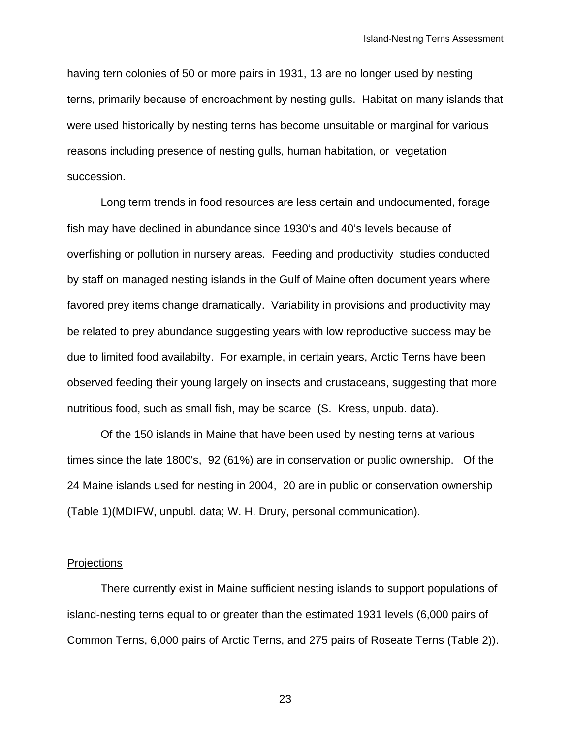having tern colonies of 50 or more pairs in 1931, 13 are no longer used by nesting terns, primarily because of encroachment by nesting gulls. Habitat on many islands that were used historically by nesting terns has become unsuitable or marginal for various reasons including presence of nesting gulls, human habitation, or vegetation succession.

Long term trends in food resources are less certain and undocumented, forage fish may have declined in abundance since 1930's and 40's levels because of overfishing or pollution in nursery areas. Feeding and productivity studies conducted by staff on managed nesting islands in the Gulf of Maine often document years where favored prey items change dramatically. Variability in provisions and productivity may be related to prey abundance suggesting years with low reproductive success may be due to limited food availabilty. For example, in certain years, Arctic Terns have been observed feeding their young largely on insects and crustaceans, suggesting that more nutritious food, such as small fish, may be scarce (S. Kress, unpub. data).

Of the 150 islands in Maine that have been used by nesting terns at various times since the late 1800's, 92 (61%) are in conservation or public ownership. Of the 24 Maine islands used for nesting in 2004, 20 are in public or conservation ownership (Table 1)(MDIFW, unpubl. data; W. H. Drury, personal communication).

#### **Projections**

There currently exist in Maine sufficient nesting islands to support populations of island-nesting terns equal to or greater than the estimated 1931 levels (6,000 pairs of Common Terns, 6,000 pairs of Arctic Terns, and 275 pairs of Roseate Terns (Table 2)).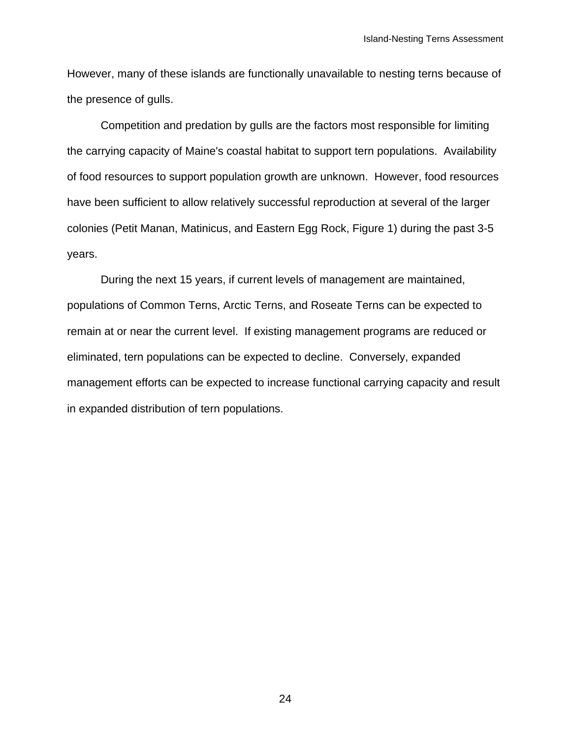However, many of these islands are functionally unavailable to nesting terns because of the presence of gulls.

Competition and predation by gulls are the factors most responsible for limiting the carrying capacity of Maine's coastal habitat to support tern populations. Availability of food resources to support population growth are unknown. However, food resources have been sufficient to allow relatively successful reproduction at several of the larger colonies (Petit Manan, Matinicus, and Eastern Egg Rock, Figure 1) during the past 3-5 years.

During the next 15 years, if current levels of management are maintained, populations of Common Terns, Arctic Terns, and Roseate Terns can be expected to remain at or near the current level. If existing management programs are reduced or eliminated, tern populations can be expected to decline. Conversely, expanded management efforts can be expected to increase functional carrying capacity and result in expanded distribution of tern populations.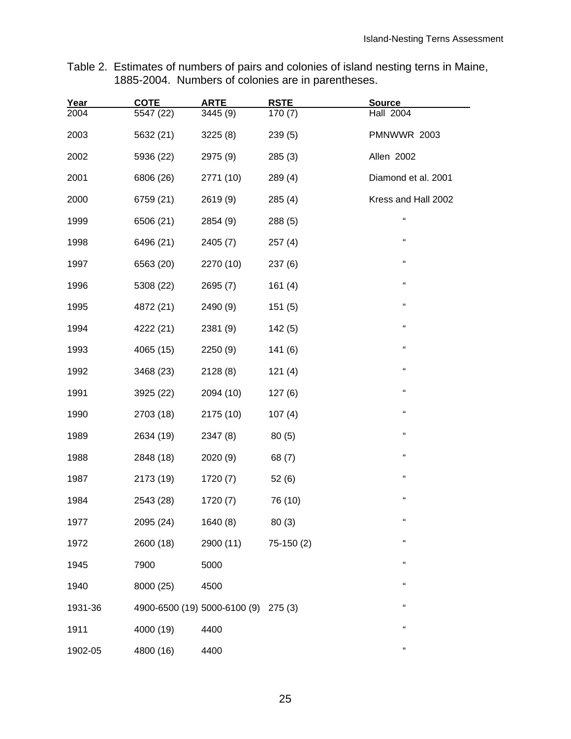Table 2. Estimates of numbers of pairs and colonies of island nesting terns in Maine, 1885-2004. Numbers of colonies are in parentheses.

| Year<br>2004 | <b>COTE</b><br>5547 (22) | <b>ARTE</b><br>3445 (9)              | <b>RSTE</b><br>170 (7) | <b>Source</b><br><b>Hall 2004</b> |
|--------------|--------------------------|--------------------------------------|------------------------|-----------------------------------|
|              |                          |                                      |                        |                                   |
| 2003         | 5632 (21)                | 3225(8)                              | 239(5)                 | <b>PMNWWR 2003</b>                |
| 2002         | 5936 (22)                | 2975 (9)                             | 285(3)                 | Allen 2002                        |
| 2001         | 6806 (26)                | 2771 (10)                            | 289(4)                 | Diamond et al. 2001               |
| 2000         | 6759 (21)                | 2619 (9)                             | 285(4)                 | Kress and Hall 2002               |
| 1999         | 6506 (21)                | 2854 (9)                             | 288(5)                 | íí.                               |
| 1998         | 6496 (21)                | 2405 (7)                             | 257(4)                 | $\mathbf{G}$                      |
| 1997         | 6563 (20)                | 2270 (10)                            | 237(6)                 | "                                 |
| 1996         | 5308 (22)                | 2695(7)                              | 161(4)                 | "                                 |
| 1995         | 4872 (21)                | 2490 (9)                             | 151(5)                 | $\mathbf{G}$                      |
| 1994         | 4222 (21)                | 2381 (9)                             | 142(5)                 | "                                 |
| 1993         | 4065 (15)                | 2250 (9)                             | 141(6)                 | "                                 |
| 1992         | 3468 (23)                | 2128 (8)                             | 121(4)                 | $\mathbf{G}$                      |
| 1991         | 3925 (22)                | 2094 (10)                            | 127(6)                 | "                                 |
| 1990         | 2703 (18)                | 2175 (10)                            | 107(4)                 | "                                 |
| 1989         | 2634 (19)                | 2347 (8)                             | 80(5)                  | f f                               |
| 1988         | 2848 (18)                | 2020 (9)                             | 68 (7)                 | "                                 |
| 1987         | 2173 (19)                | 1720 (7)                             | 52(6)                  | "                                 |
| 1984         | 2543 (28)                | 1720(7)                              | 76 (10)                | "                                 |
| 1977         | 2095 (24)                | 1640 (8)                             | 80(3)                  | $\epsilon$                        |
| 1972         | 2600 (18)                | 2900 (11)                            | $75-150(2)$            | f f                               |
| 1945         | 7900                     | 5000                                 |                        | "                                 |
| 1940         | 8000 (25)                | 4500                                 |                        | "                                 |
| 1931-36      |                          | 4900-6500 (19) 5000-6100 (9) 275 (3) |                        | "                                 |
| 1911         | 4000 (19)                | 4400                                 |                        | "                                 |
| 1902-05      | 4800 (16)                | 4400                                 |                        | $\mathfrak{c}\mathfrak{c}$        |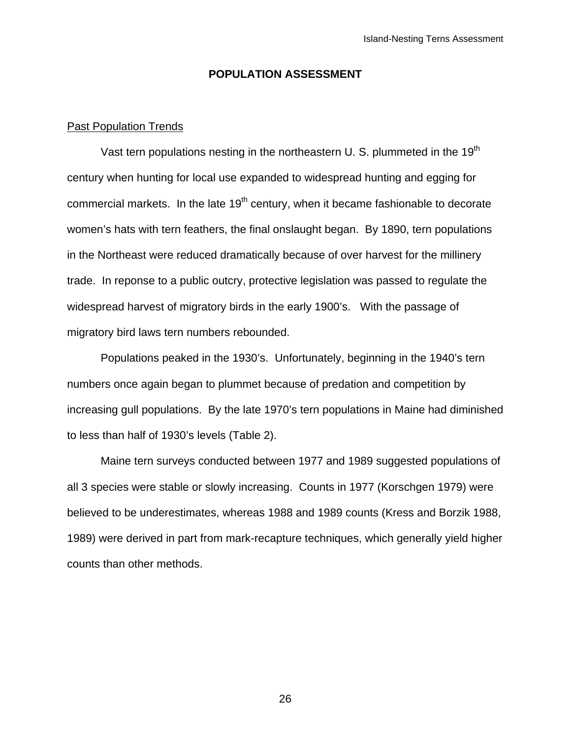#### **POPULATION ASSESSMENT**

#### Past Population Trends

Vast tern populations nesting in the northeastern U. S. plummeted in the 19<sup>th</sup> century when hunting for local use expanded to widespread hunting and egging for commercial markets. In the late  $19<sup>th</sup>$  century, when it became fashionable to decorate women's hats with tern feathers, the final onslaught began. By 1890, tern populations in the Northeast were reduced dramatically because of over harvest for the millinery trade. In reponse to a public outcry, protective legislation was passed to regulate the widespread harvest of migratory birds in the early 1900's. With the passage of migratory bird laws tern numbers rebounded.

Populations peaked in the 1930's. Unfortunately, beginning in the 1940's tern numbers once again began to plummet because of predation and competition by increasing gull populations. By the late 1970's tern populations in Maine had diminished to less than half of 1930's levels (Table 2).

Maine tern surveys conducted between 1977 and 1989 suggested populations of all 3 species were stable or slowly increasing. Counts in 1977 (Korschgen 1979) were believed to be underestimates, whereas 1988 and 1989 counts (Kress and Borzik 1988, 1989) were derived in part from mark-recapture techniques, which generally yield higher counts than other methods.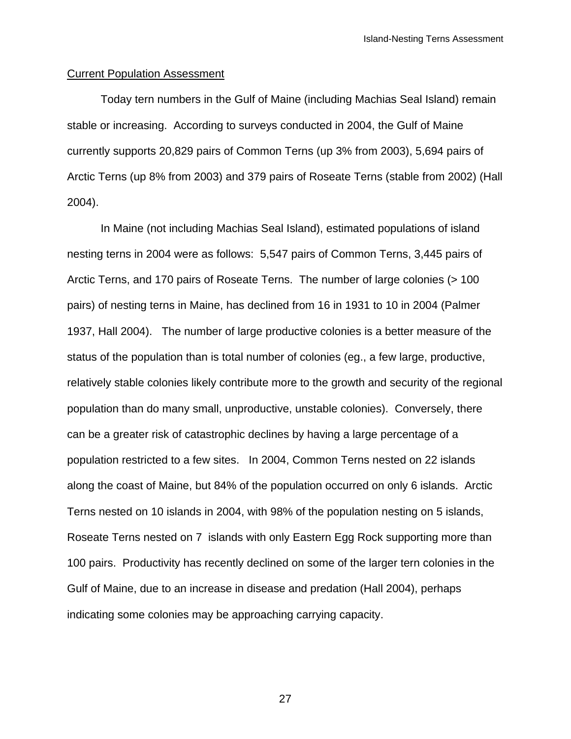#### Current Population Assessment

Today tern numbers in the Gulf of Maine (including Machias Seal Island) remain stable or increasing. According to surveys conducted in 2004, the Gulf of Maine currently supports 20,829 pairs of Common Terns (up 3% from 2003), 5,694 pairs of Arctic Terns (up 8% from 2003) and 379 pairs of Roseate Terns (stable from 2002) (Hall 2004).

In Maine (not including Machias Seal Island), estimated populations of island nesting terns in 2004 were as follows: 5,547 pairs of Common Terns, 3,445 pairs of Arctic Terns, and 170 pairs of Roseate Terns. The number of large colonies (> 100 pairs) of nesting terns in Maine, has declined from 16 in 1931 to 10 in 2004 (Palmer 1937, Hall 2004). The number of large productive colonies is a better measure of the status of the population than is total number of colonies (eg., a few large, productive, relatively stable colonies likely contribute more to the growth and security of the regional population than do many small, unproductive, unstable colonies). Conversely, there can be a greater risk of catastrophic declines by having a large percentage of a population restricted to a few sites. In 2004, Common Terns nested on 22 islands along the coast of Maine, but 84% of the population occurred on only 6 islands. Arctic Terns nested on 10 islands in 2004, with 98% of the population nesting on 5 islands, Roseate Terns nested on 7 islands with only Eastern Egg Rock supporting more than 100 pairs. Productivity has recently declined on some of the larger tern colonies in the Gulf of Maine, due to an increase in disease and predation (Hall 2004), perhaps indicating some colonies may be approaching carrying capacity.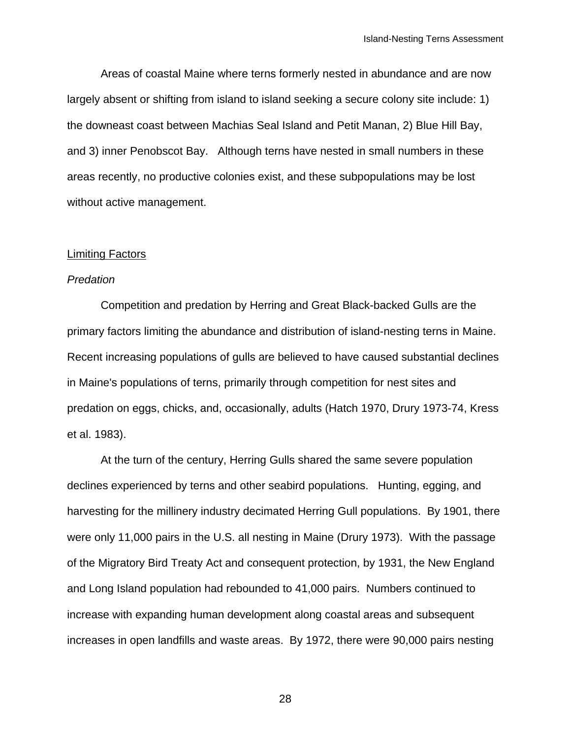Areas of coastal Maine where terns formerly nested in abundance and are now largely absent or shifting from island to island seeking a secure colony site include: 1) the downeast coast between Machias Seal Island and Petit Manan, 2) Blue Hill Bay, and 3) inner Penobscot Bay. Although terns have nested in small numbers in these areas recently, no productive colonies exist, and these subpopulations may be lost without active management.

#### Limiting Factors

#### *Predation*

Competition and predation by Herring and Great Black-backed Gulls are the primary factors limiting the abundance and distribution of island-nesting terns in Maine. Recent increasing populations of gulls are believed to have caused substantial declines in Maine's populations of terns, primarily through competition for nest sites and predation on eggs, chicks, and, occasionally, adults (Hatch 1970, Drury 1973-74, Kress et al. 1983).

At the turn of the century, Herring Gulls shared the same severe population declines experienced by terns and other seabird populations. Hunting, egging, and harvesting for the millinery industry decimated Herring Gull populations. By 1901, there were only 11,000 pairs in the U.S. all nesting in Maine (Drury 1973). With the passage of the Migratory Bird Treaty Act and consequent protection, by 1931, the New England and Long Island population had rebounded to 41,000 pairs. Numbers continued to increase with expanding human development along coastal areas and subsequent increases in open landfills and waste areas. By 1972, there were 90,000 pairs nesting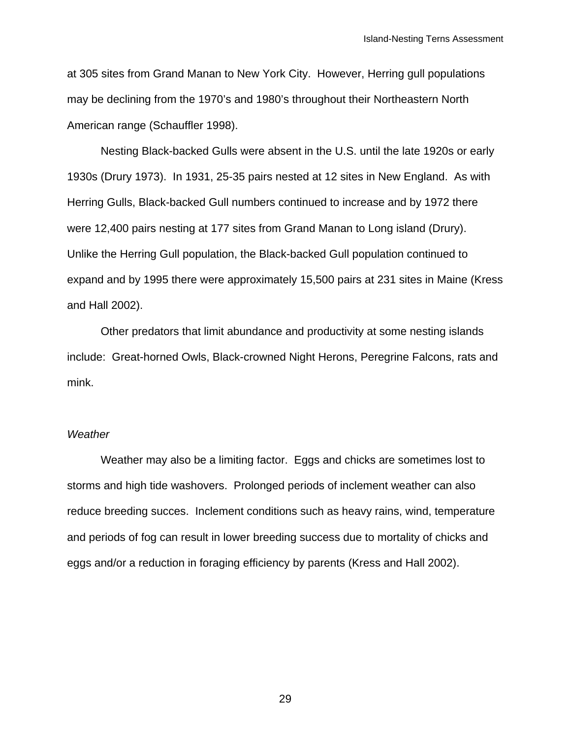at 305 sites from Grand Manan to New York City. However, Herring gull populations may be declining from the 1970's and 1980's throughout their Northeastern North American range (Schauffler 1998).

Nesting Black-backed Gulls were absent in the U.S. until the late 1920s or early 1930s (Drury 1973). In 1931, 25-35 pairs nested at 12 sites in New England. As with Herring Gulls, Black-backed Gull numbers continued to increase and by 1972 there were 12,400 pairs nesting at 177 sites from Grand Manan to Long island (Drury). Unlike the Herring Gull population, the Black-backed Gull population continued to expand and by 1995 there were approximately 15,500 pairs at 231 sites in Maine (Kress and Hall 2002).

Other predators that limit abundance and productivity at some nesting islands include: Great-horned Owls, Black-crowned Night Herons, Peregrine Falcons, rats and mink.

#### *Weather*

Weather may also be a limiting factor. Eggs and chicks are sometimes lost to storms and high tide washovers. Prolonged periods of inclement weather can also reduce breeding succes. Inclement conditions such as heavy rains, wind, temperature and periods of fog can result in lower breeding success due to mortality of chicks and eggs and/or a reduction in foraging efficiency by parents (Kress and Hall 2002).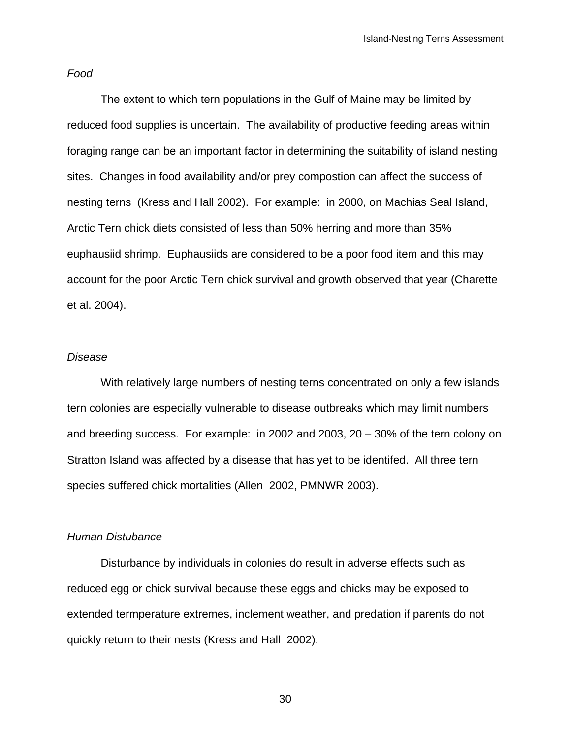#### *Food*

The extent to which tern populations in the Gulf of Maine may be limited by reduced food supplies is uncertain. The availability of productive feeding areas within foraging range can be an important factor in determining the suitability of island nesting sites. Changes in food availability and/or prey compostion can affect the success of nesting terns (Kress and Hall 2002). For example: in 2000, on Machias Seal Island, Arctic Tern chick diets consisted of less than 50% herring and more than 35% euphausiid shrimp. Euphausiids are considered to be a poor food item and this may account for the poor Arctic Tern chick survival and growth observed that year (Charette et al. 2004).

#### *Disease*

With relatively large numbers of nesting terns concentrated on only a few islands tern colonies are especially vulnerable to disease outbreaks which may limit numbers and breeding success. For example: in 2002 and 2003, 20 – 30% of the tern colony on Stratton Island was affected by a disease that has yet to be identifed. All three tern species suffered chick mortalities (Allen 2002, PMNWR 2003).

#### *Human Distubance*

Disturbance by individuals in colonies do result in adverse effects such as reduced egg or chick survival because these eggs and chicks may be exposed to extended termperature extremes, inclement weather, and predation if parents do not quickly return to their nests (Kress and Hall 2002).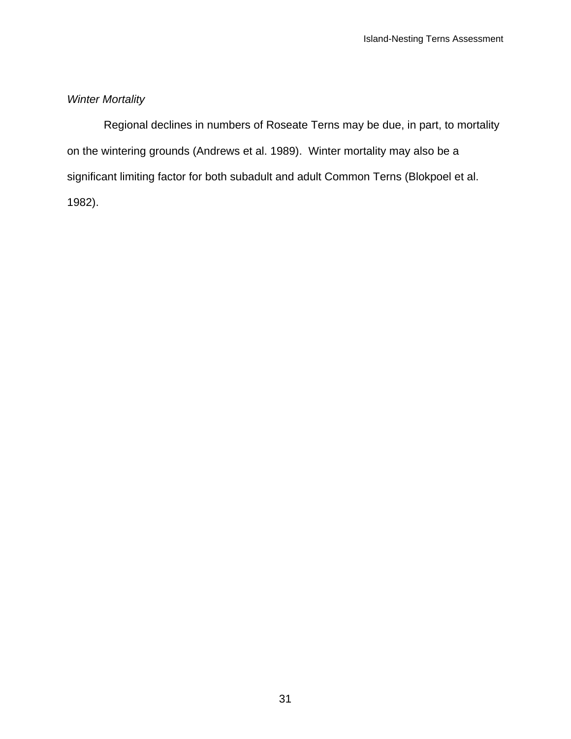## *Winter Mortality*

 Regional declines in numbers of Roseate Terns may be due, in part, to mortality on the wintering grounds (Andrews et al. 1989). Winter mortality may also be a significant limiting factor for both subadult and adult Common Terns (Blokpoel et al. 1982).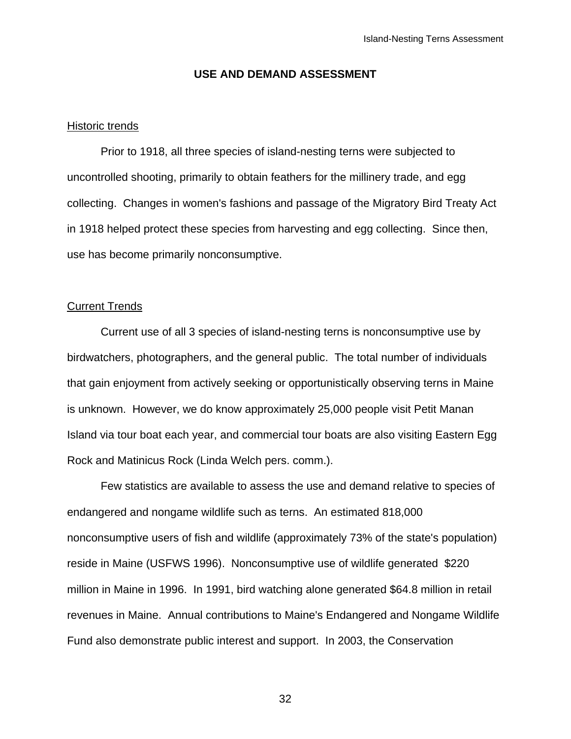#### **USE AND DEMAND ASSESSMENT**

#### Historic trends

 Prior to 1918, all three species of island-nesting terns were subjected to uncontrolled shooting, primarily to obtain feathers for the millinery trade, and egg collecting. Changes in women's fashions and passage of the Migratory Bird Treaty Act in 1918 helped protect these species from harvesting and egg collecting. Since then, use has become primarily nonconsumptive.

#### Current Trends

Current use of all 3 species of island-nesting terns is nonconsumptive use by birdwatchers, photographers, and the general public. The total number of individuals that gain enjoyment from actively seeking or opportunistically observing terns in Maine is unknown. However, we do know approximately 25,000 people visit Petit Manan Island via tour boat each year, and commercial tour boats are also visiting Eastern Egg Rock and Matinicus Rock (Linda Welch pers. comm.).

Few statistics are available to assess the use and demand relative to species of endangered and nongame wildlife such as terns. An estimated 818,000 nonconsumptive users of fish and wildlife (approximately 73% of the state's population) reside in Maine (USFWS 1996). Nonconsumptive use of wildlife generated \$220 million in Maine in 1996. In 1991, bird watching alone generated \$64.8 million in retail revenues in Maine. Annual contributions to Maine's Endangered and Nongame Wildlife Fund also demonstrate public interest and support. In 2003, the Conservation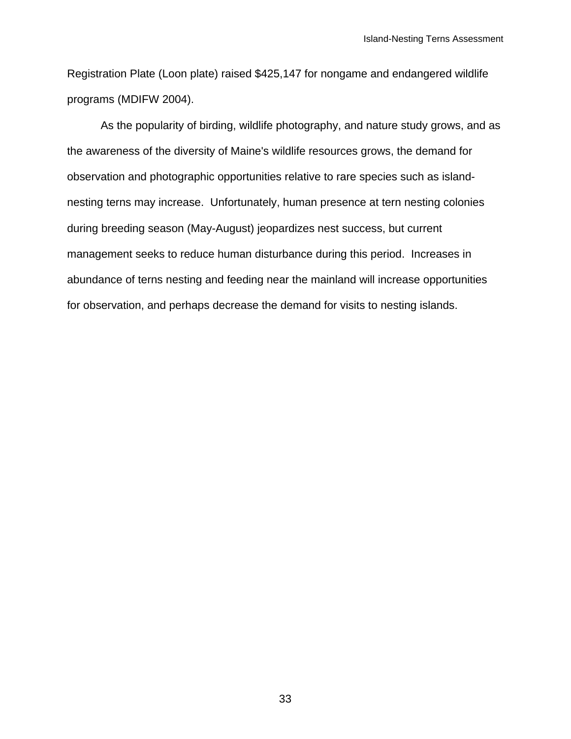Registration Plate (Loon plate) raised \$425,147 for nongame and endangered wildlife programs (MDIFW 2004).

As the popularity of birding, wildlife photography, and nature study grows, and as the awareness of the diversity of Maine's wildlife resources grows, the demand for observation and photographic opportunities relative to rare species such as islandnesting terns may increase. Unfortunately, human presence at tern nesting colonies during breeding season (May-August) jeopardizes nest success, but current management seeks to reduce human disturbance during this period. Increases in abundance of terns nesting and feeding near the mainland will increase opportunities for observation, and perhaps decrease the demand for visits to nesting islands.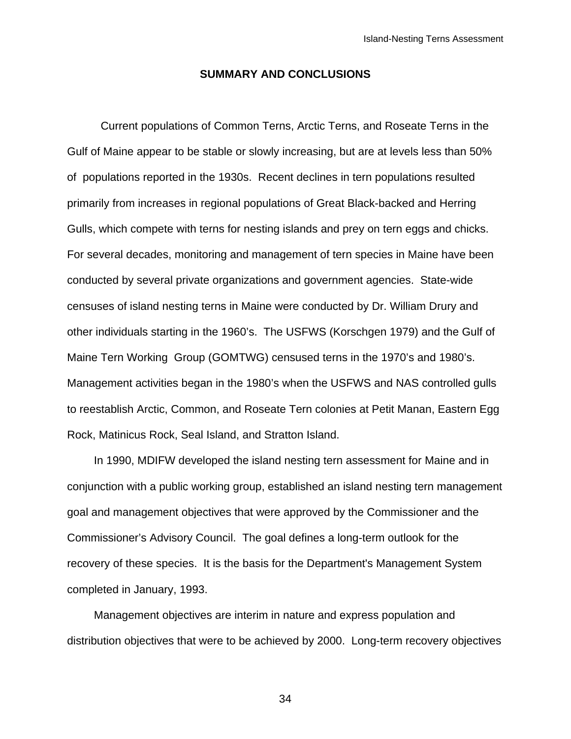#### **SUMMARY AND CONCLUSIONS**

Current populations of Common Terns, Arctic Terns, and Roseate Terns in the Gulf of Maine appear to be stable or slowly increasing, but are at levels less than 50% of populations reported in the 1930s. Recent declines in tern populations resulted primarily from increases in regional populations of Great Black-backed and Herring Gulls, which compete with terns for nesting islands and prey on tern eggs and chicks. For several decades, monitoring and management of tern species in Maine have been conducted by several private organizations and government agencies. State-wide censuses of island nesting terns in Maine were conducted by Dr. William Drury and other individuals starting in the 1960's. The USFWS (Korschgen 1979) and the Gulf of Maine Tern Working Group (GOMTWG) censused terns in the 1970's and 1980's. Management activities began in the 1980's when the USFWS and NAS controlled gulls to reestablish Arctic, Common, and Roseate Tern colonies at Petit Manan, Eastern Egg Rock, Matinicus Rock, Seal Island, and Stratton Island.

In 1990, MDIFW developed the island nesting tern assessment for Maine and in conjunction with a public working group, established an island nesting tern management goal and management objectives that were approved by the Commissioner and the Commissioner's Advisory Council. The goal defines a long-term outlook for the recovery of these species. It is the basis for the Department's Management System completed in January, 1993.

Management objectives are interim in nature and express population and distribution objectives that were to be achieved by 2000. Long-term recovery objectives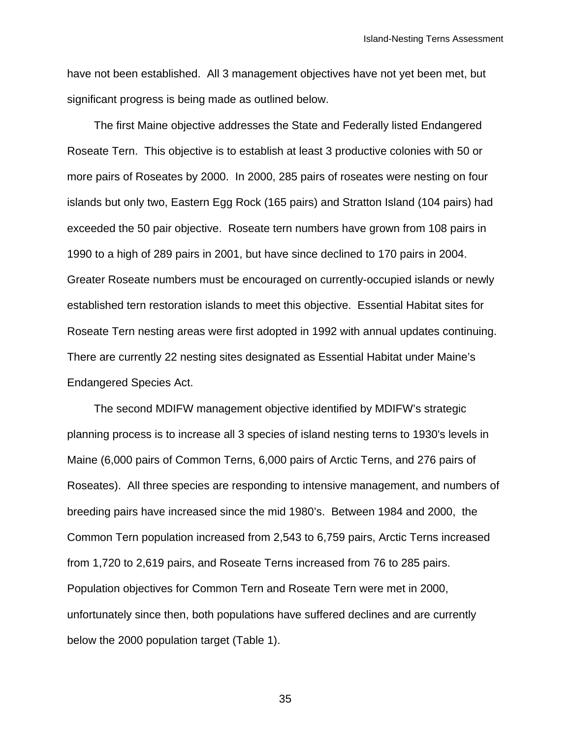have not been established. All 3 management objectives have not yet been met, but significant progress is being made as outlined below.

The first Maine objective addresses the State and Federally listed Endangered Roseate Tern. This objective is to establish at least 3 productive colonies with 50 or more pairs of Roseates by 2000. In 2000, 285 pairs of roseates were nesting on four islands but only two, Eastern Egg Rock (165 pairs) and Stratton Island (104 pairs) had exceeded the 50 pair objective. Roseate tern numbers have grown from 108 pairs in 1990 to a high of 289 pairs in 2001, but have since declined to 170 pairs in 2004. Greater Roseate numbers must be encouraged on currently-occupied islands or newly established tern restoration islands to meet this objective. Essential Habitat sites for Roseate Tern nesting areas were first adopted in 1992 with annual updates continuing. There are currently 22 nesting sites designated as Essential Habitat under Maine's Endangered Species Act.

The second MDIFW management objective identified by MDIFW's strategic planning process is to increase all 3 species of island nesting terns to 1930's levels in Maine (6,000 pairs of Common Terns, 6,000 pairs of Arctic Terns, and 276 pairs of Roseates). All three species are responding to intensive management, and numbers of breeding pairs have increased since the mid 1980's. Between 1984 and 2000, the Common Tern population increased from 2,543 to 6,759 pairs, Arctic Terns increased from 1,720 to 2,619 pairs, and Roseate Terns increased from 76 to 285 pairs. Population objectives for Common Tern and Roseate Tern were met in 2000, unfortunately since then, both populations have suffered declines and are currently below the 2000 population target (Table 1).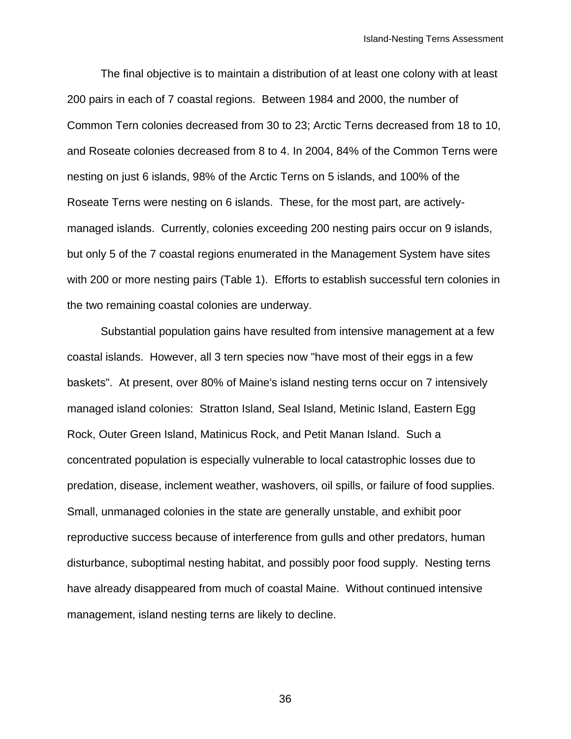The final objective is to maintain a distribution of at least one colony with at least 200 pairs in each of 7 coastal regions. Between 1984 and 2000, the number of Common Tern colonies decreased from 30 to 23; Arctic Terns decreased from 18 to 10, and Roseate colonies decreased from 8 to 4. In 2004, 84% of the Common Terns were nesting on just 6 islands, 98% of the Arctic Terns on 5 islands, and 100% of the Roseate Terns were nesting on 6 islands. These, for the most part, are activelymanaged islands. Currently, colonies exceeding 200 nesting pairs occur on 9 islands, but only 5 of the 7 coastal regions enumerated in the Management System have sites with 200 or more nesting pairs (Table 1). Efforts to establish successful tern colonies in the two remaining coastal colonies are underway.

Substantial population gains have resulted from intensive management at a few coastal islands. However, all 3 tern species now "have most of their eggs in a few baskets". At present, over 80% of Maine's island nesting terns occur on 7 intensively managed island colonies: Stratton Island, Seal Island, Metinic Island, Eastern Egg Rock, Outer Green Island, Matinicus Rock, and Petit Manan Island. Such a concentrated population is especially vulnerable to local catastrophic losses due to predation, disease, inclement weather, washovers, oil spills, or failure of food supplies. Small, unmanaged colonies in the state are generally unstable, and exhibit poor reproductive success because of interference from gulls and other predators, human disturbance, suboptimal nesting habitat, and possibly poor food supply. Nesting terns have already disappeared from much of coastal Maine. Without continued intensive management, island nesting terns are likely to decline.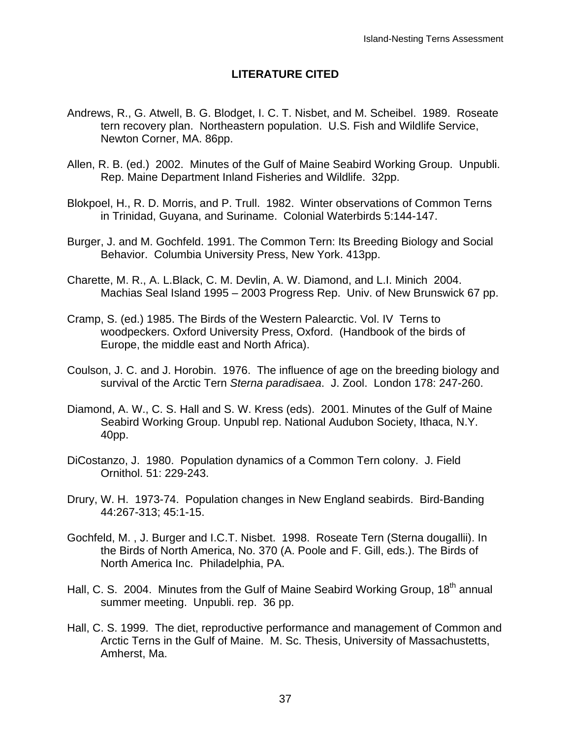### **LITERATURE CITED**

- Andrews, R., G. Atwell, B. G. Blodget, I. C. T. Nisbet, and M. Scheibel. 1989. Roseate tern recovery plan. Northeastern population. U.S. Fish and Wildlife Service, Newton Corner, MA. 86pp.
- Allen, R. B. (ed.) 2002. Minutes of the Gulf of Maine Seabird Working Group. Unpubli. Rep. Maine Department Inland Fisheries and Wildlife. 32pp.
- Blokpoel, H., R. D. Morris, and P. Trull. 1982. Winter observations of Common Terns in Trinidad, Guyana, and Suriname. Colonial Waterbirds 5:144-147.
- Burger, J. and M. Gochfeld. 1991. The Common Tern: Its Breeding Biology and Social Behavior. Columbia University Press, New York. 413pp.
- Charette, M. R., A. L.Black, C. M. Devlin, A. W. Diamond, and L.I. Minich 2004. Machias Seal Island 1995 – 2003 Progress Rep. Univ. of New Brunswick 67 pp.
- Cramp, S. (ed.) 1985. The Birds of the Western Palearctic. Vol. IV Terns to woodpeckers. Oxford University Press, Oxford. (Handbook of the birds of Europe, the middle east and North Africa).
- Coulson, J. C. and J. Horobin. 1976. The influence of age on the breeding biology and survival of the Arctic Tern *Sterna paradisaea*. J. Zool. London 178: 247-260.
- Diamond, A. W., C. S. Hall and S. W. Kress (eds). 2001. Minutes of the Gulf of Maine Seabird Working Group. Unpubl rep. National Audubon Society, Ithaca, N.Y. 40pp.
- DiCostanzo, J. 1980. Population dynamics of a Common Tern colony. J. Field Ornithol. 51: 229-243.
- Drury, W. H. 1973-74. Population changes in New England seabirds. Bird-Banding 44:267-313; 45:1-15.
- Gochfeld, M. , J. Burger and I.C.T. Nisbet. 1998. Roseate Tern (Sterna dougallii). In the Birds of North America, No. 370 (A. Poole and F. Gill, eds.). The Birds of North America Inc. Philadelphia, PA.
- Hall, C. S. 2004. Minutes from the Gulf of Maine Seabird Working Group, 18<sup>th</sup> annual summer meeting. Unpubli. rep. 36 pp.
- Hall, C. S. 1999. The diet, reproductive performance and management of Common and Arctic Terns in the Gulf of Maine. M. Sc. Thesis, University of Massachustetts, Amherst, Ma.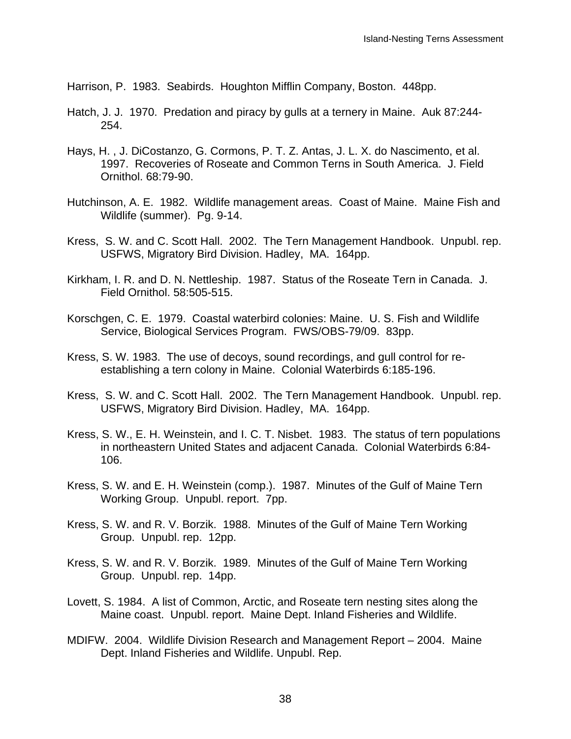Harrison, P. 1983. Seabirds. Houghton Mifflin Company, Boston. 448pp.

- Hatch, J. J. 1970. Predation and piracy by gulls at a ternery in Maine. Auk 87:244- 254.
- Hays, H. , J. DiCostanzo, G. Cormons, P. T. Z. Antas, J. L. X. do Nascimento, et al. 1997. Recoveries of Roseate and Common Terns in South America. J. Field Ornithol. 68:79-90.
- Hutchinson, A. E. 1982. Wildlife management areas. Coast of Maine. Maine Fish and Wildlife (summer). Pg. 9-14.
- Kress, S. W. and C. Scott Hall. 2002. The Tern Management Handbook. Unpubl. rep. USFWS, Migratory Bird Division. Hadley, MA. 164pp.
- Kirkham, I. R. and D. N. Nettleship. 1987. Status of the Roseate Tern in Canada. J. Field Ornithol. 58:505-515.
- Korschgen, C. E. 1979. Coastal waterbird colonies: Maine. U. S. Fish and Wildlife Service, Biological Services Program. FWS/OBS-79/09. 83pp.
- Kress, S. W. 1983. The use of decoys, sound recordings, and gull control for reestablishing a tern colony in Maine. Colonial Waterbirds 6:185-196.
- Kress, S. W. and C. Scott Hall. 2002. The Tern Management Handbook. Unpubl. rep. USFWS, Migratory Bird Division. Hadley, MA. 164pp.
- Kress, S. W., E. H. Weinstein, and I. C. T. Nisbet. 1983. The status of tern populations in northeastern United States and adjacent Canada. Colonial Waterbirds 6:84- 106.
- Kress, S. W. and E. H. Weinstein (comp.). 1987. Minutes of the Gulf of Maine Tern Working Group. Unpubl. report. 7pp.
- Kress, S. W. and R. V. Borzik. 1988. Minutes of the Gulf of Maine Tern Working Group. Unpubl. rep. 12pp.
- Kress, S. W. and R. V. Borzik. 1989. Minutes of the Gulf of Maine Tern Working Group. Unpubl. rep. 14pp.
- Lovett, S. 1984. A list of Common, Arctic, and Roseate tern nesting sites along the Maine coast. Unpubl. report. Maine Dept. Inland Fisheries and Wildlife.
- MDIFW. 2004. Wildlife Division Research and Management Report 2004. Maine Dept. Inland Fisheries and Wildlife. Unpubl. Rep.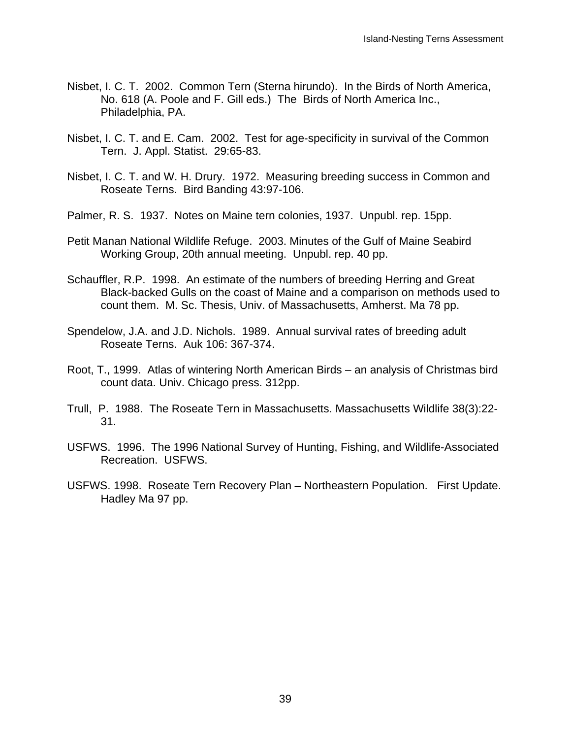- Nisbet, I. C. T. 2002. Common Tern (Sterna hirundo). In the Birds of North America, No. 618 (A. Poole and F. Gill eds.) The Birds of North America Inc., Philadelphia, PA.
- Nisbet, I. C. T. and E. Cam. 2002. Test for age-specificity in survival of the Common Tern. J. Appl. Statist. 29:65-83.
- Nisbet, I. C. T. and W. H. Drury. 1972. Measuring breeding success in Common and Roseate Terns. Bird Banding 43:97-106.
- Palmer, R. S. 1937. Notes on Maine tern colonies, 1937. Unpubl. rep. 15pp.
- Petit Manan National Wildlife Refuge. 2003. Minutes of the Gulf of Maine Seabird Working Group, 20th annual meeting. Unpubl. rep. 40 pp.
- Schauffler, R.P. 1998. An estimate of the numbers of breeding Herring and Great Black-backed Gulls on the coast of Maine and a comparison on methods used to count them. M. Sc. Thesis, Univ. of Massachusetts, Amherst. Ma 78 pp.
- Spendelow, J.A. and J.D. Nichols. 1989. Annual survival rates of breeding adult Roseate Terns. Auk 106: 367-374.
- Root, T., 1999. Atlas of wintering North American Birds an analysis of Christmas bird count data. Univ. Chicago press. 312pp.
- Trull, P. 1988. The Roseate Tern in Massachusetts. Massachusetts Wildlife 38(3):22- 31.
- USFWS. 1996. The 1996 National Survey of Hunting, Fishing, and Wildlife-Associated Recreation. USFWS.
- USFWS. 1998. Roseate Tern Recovery Plan Northeastern Population. First Update. Hadley Ma 97 pp.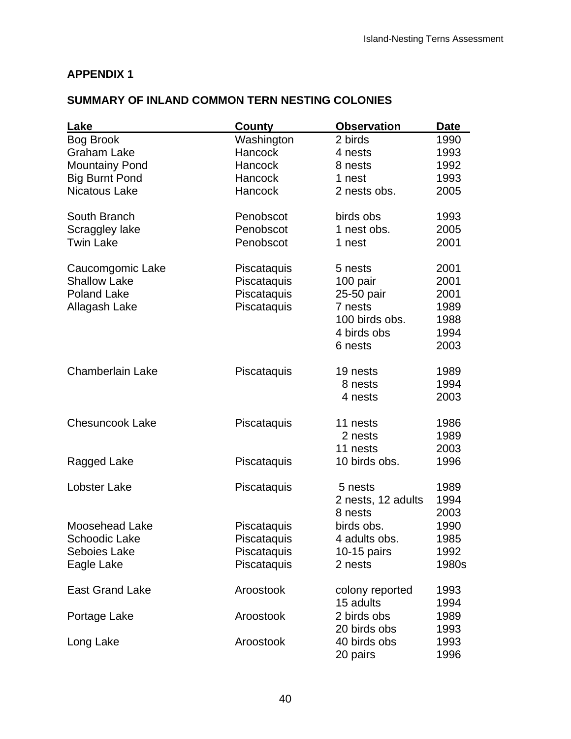## **APPENDIX 1**

## **SUMMARY OF INLAND COMMON TERN NESTING COLONIES**

| Lake                    | County         | <b>Observation</b> | Date  |
|-------------------------|----------------|--------------------|-------|
| Bog Brook               | Washington     | 2 birds            | 1990  |
| <b>Graham Lake</b>      | <b>Hancock</b> | 4 nests            | 1993  |
| <b>Mountainy Pond</b>   | Hancock        | 8 nests            | 1992  |
| <b>Big Burnt Pond</b>   | Hancock        | 1 nest             | 1993  |
| <b>Nicatous Lake</b>    | Hancock        | 2 nests obs.       | 2005  |
| South Branch            | Penobscot      | birds obs          | 1993  |
| Scraggley lake          | Penobscot      | 1 nest obs.        | 2005  |
| <b>Twin Lake</b>        | Penobscot      | 1 nest             | 2001  |
| Caucomgomic Lake        | Piscataquis    | 5 nests            | 2001  |
| <b>Shallow Lake</b>     | Piscataquis    | 100 pair           | 2001  |
| <b>Poland Lake</b>      | Piscataquis    | 25-50 pair         | 2001  |
| Allagash Lake           | Piscataquis    | 7 nests            | 1989  |
|                         |                | 100 birds obs.     | 1988  |
|                         |                | 4 birds obs        | 1994  |
|                         |                | 6 nests            | 2003  |
| <b>Chamberlain Lake</b> | Piscataquis    | 19 nests           | 1989  |
|                         |                | 8 nests            | 1994  |
|                         |                | 4 nests            | 2003  |
| <b>Chesuncook Lake</b>  | Piscataquis    | 11 nests           | 1986  |
|                         |                | 2 nests            | 1989  |
|                         |                | 11 nests           | 2003  |
| Ragged Lake             | Piscataquis    | 10 birds obs.      | 1996  |
| Lobster Lake            | Piscataquis    | 5 nests            | 1989  |
|                         |                | 2 nests, 12 adults | 1994  |
|                         |                | 8 nests            | 2003  |
| <b>Moosehead Lake</b>   | Piscataquis    | birds obs.         | 1990  |
| Schoodic Lake           | Piscataquis    | 4 adults obs.      | 1985  |
| Seboies Lake            | Piscataquis    | $10-15$ pairs      | 1992  |
| Eagle Lake              | Piscataquis    | 2 nests            | 1980s |
| <b>East Grand Lake</b>  | Aroostook      | colony reported    | 1993  |
|                         |                | 15 adults          | 1994  |
| Portage Lake            | Aroostook      | 2 birds obs        | 1989  |
|                         |                | 20 birds obs       | 1993  |
| Long Lake               | Aroostook      | 40 birds obs       | 1993  |
|                         |                | 20 pairs           | 1996  |